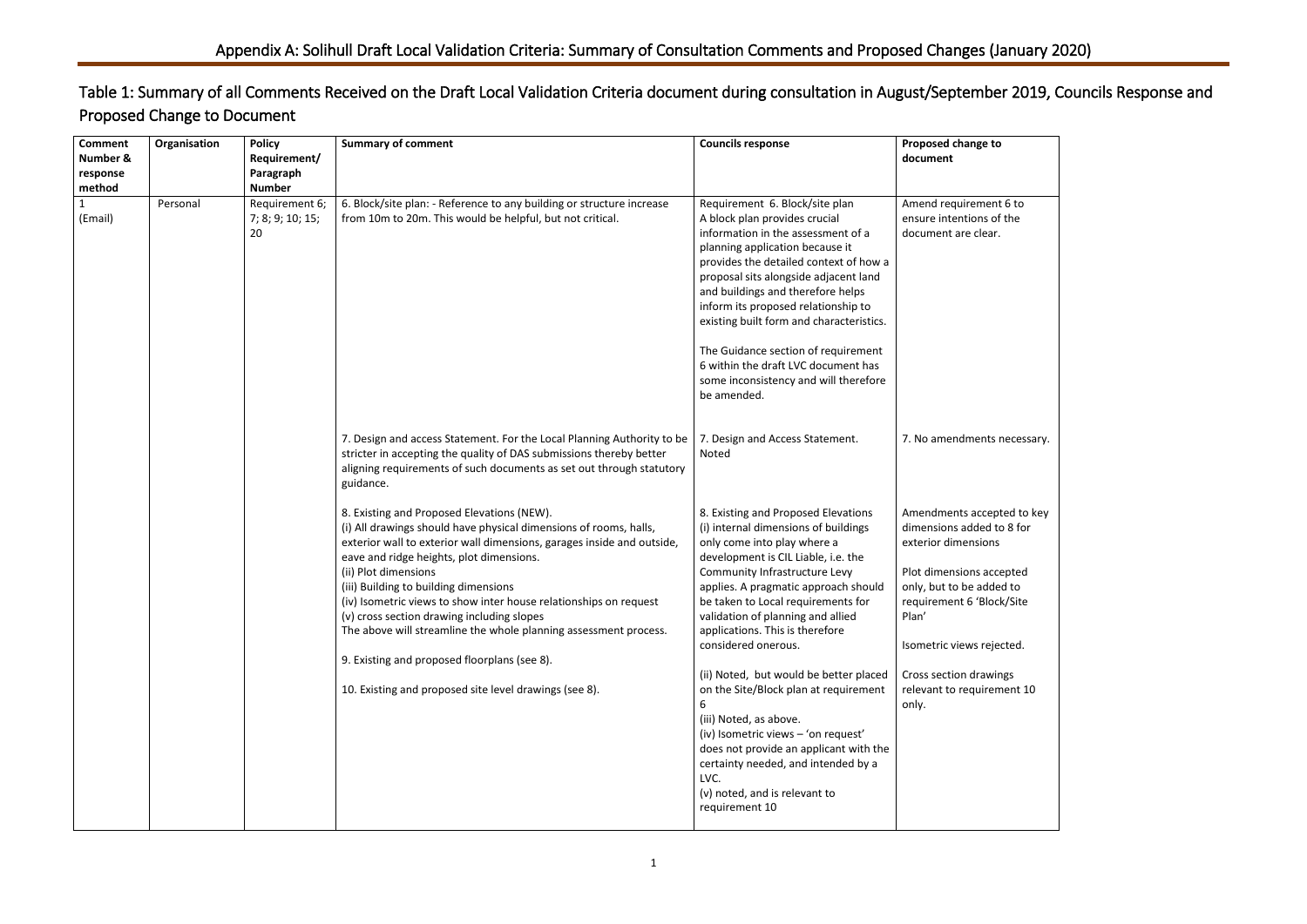| to<br>ent 6 to<br>of the<br>ar.<br>ts necessary.<br>epted to key<br>d to 8 for<br>ns<br><b>iccepted</b><br>Ided to<br>lock/Site<br>ejected.<br>wings<br>ement 10 |  |
|------------------------------------------------------------------------------------------------------------------------------------------------------------------|--|
|                                                                                                                                                                  |  |
|                                                                                                                                                                  |  |
|                                                                                                                                                                  |  |
|                                                                                                                                                                  |  |
|                                                                                                                                                                  |  |
|                                                                                                                                                                  |  |
|                                                                                                                                                                  |  |
|                                                                                                                                                                  |  |

## Table 1: Summary of all Comments Received on the Draft Local Validation Criteria document during consultation in August/September 2019, Councils Response and Proposed Change to Document

| <b>Comment</b><br>Number &<br>response<br>method | Organisation | <b>Policy</b><br>Requirement/<br>Paragraph<br><b>Number</b> | <b>Summary of comment</b>                                                                                                                                                                                                                                                                                                                                                                                                                                                                                                                                                                               | <b>Councils response</b>                                                                                                                                                                                                                                                                                                                                                                                                                                                                                                                                                                                                                                        | Proposed change to<br>document                                                                                                                                                                                                                                             |
|--------------------------------------------------|--------------|-------------------------------------------------------------|---------------------------------------------------------------------------------------------------------------------------------------------------------------------------------------------------------------------------------------------------------------------------------------------------------------------------------------------------------------------------------------------------------------------------------------------------------------------------------------------------------------------------------------------------------------------------------------------------------|-----------------------------------------------------------------------------------------------------------------------------------------------------------------------------------------------------------------------------------------------------------------------------------------------------------------------------------------------------------------------------------------------------------------------------------------------------------------------------------------------------------------------------------------------------------------------------------------------------------------------------------------------------------------|----------------------------------------------------------------------------------------------------------------------------------------------------------------------------------------------------------------------------------------------------------------------------|
| 1<br>(Email)                                     | Personal     | Requirement 6;<br>7; 8; 9; 10; 15;<br>20                    | 6. Block/site plan: - Reference to any building or structure increase<br>from 10m to 20m. This would be helpful, but not critical.                                                                                                                                                                                                                                                                                                                                                                                                                                                                      | Requirement 6. Block/site plan<br>A block plan provides crucial<br>information in the assessment of a<br>planning application because it<br>provides the detailed context of how a<br>proposal sits alongside adjacent land<br>and buildings and therefore helps<br>inform its proposed relationship to<br>existing built form and characteristics.<br>The Guidance section of requirement<br>6 within the draft LVC document has<br>some inconsistency and will therefore<br>be amended.                                                                                                                                                                       | Amend requirement 6 to<br>ensure intentions of the<br>document are clear.                                                                                                                                                                                                  |
|                                                  |              |                                                             | 7. Design and access Statement. For the Local Planning Authority to be<br>stricter in accepting the quality of DAS submissions thereby better<br>aligning requirements of such documents as set out through statutory<br>guidance.                                                                                                                                                                                                                                                                                                                                                                      | 7. Design and Access Statement.<br>Noted                                                                                                                                                                                                                                                                                                                                                                                                                                                                                                                                                                                                                        | 7. No amendments necessary.                                                                                                                                                                                                                                                |
|                                                  |              |                                                             | 8. Existing and Proposed Elevations (NEW).<br>(i) All drawings should have physical dimensions of rooms, halls,<br>exterior wall to exterior wall dimensions, garages inside and outside,<br>eave and ridge heights, plot dimensions.<br>(ii) Plot dimensions<br>(iii) Building to building dimensions<br>(iv) Isometric views to show inter house relationships on request<br>(v) cross section drawing including slopes<br>The above will streamline the whole planning assessment process.<br>9. Existing and proposed floorplans (see 8).<br>10. Existing and proposed site level drawings (see 8). | 8. Existing and Proposed Elevations<br>(i) internal dimensions of buildings<br>only come into play where a<br>development is CIL Liable, i.e. the<br>Community Infrastructure Levy<br>applies. A pragmatic approach should<br>be taken to Local requirements for<br>validation of planning and allied<br>applications. This is therefore<br>considered onerous.<br>(ii) Noted, but would be better placed<br>on the Site/Block plan at requirement<br>(iii) Noted, as above.<br>(iv) Isometric views - 'on request'<br>does not provide an applicant with the<br>certainty needed, and intended by a<br>LVC.<br>(v) noted, and is relevant to<br>requirement 10 | Amendments accepted to key<br>dimensions added to 8 for<br>exterior dimensions<br>Plot dimensions accepted<br>only, but to be added to<br>requirement 6 'Block/Site<br>Plan'<br>Isometric views rejected.<br>Cross section drawings<br>relevant to requirement 10<br>only. |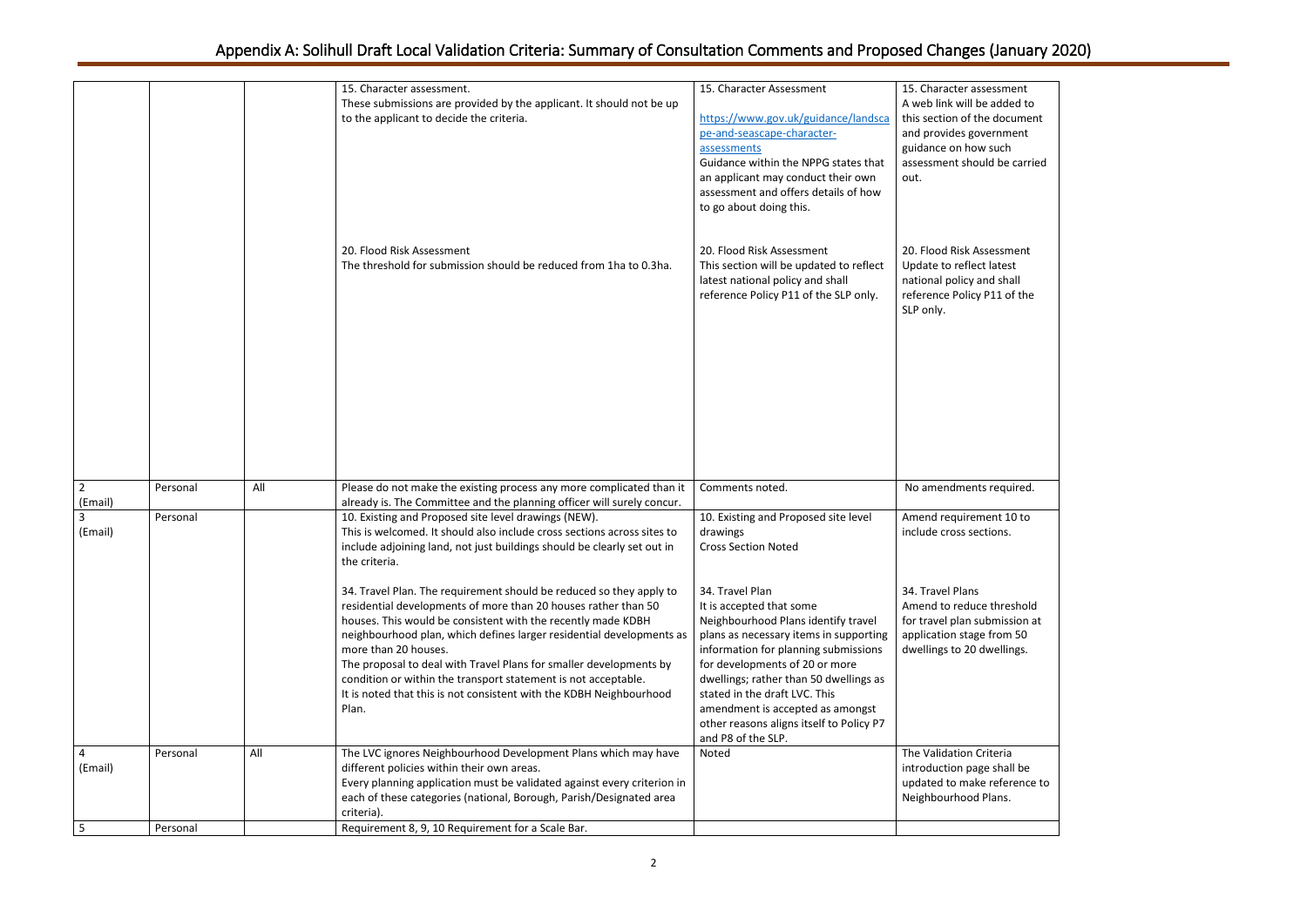| sessment<br>e added to<br>he document<br>vernment<br>w such<br>uld be carried |  |
|-------------------------------------------------------------------------------|--|
| ssessment<br>ct latest<br>and shall<br>P11 of the                             |  |
| ts required.                                                                  |  |
| nent 10 to<br>ctions.                                                         |  |
| e threshold<br>ubmission at<br>e from 50<br>dwellings.                        |  |
| Criteria<br>ge shall be<br>e reference to<br>Plans.                           |  |
|                                                                               |  |

|                           |          |     | 15. Character assessment.<br>These submissions are provided by the applicant. It should not be up<br>to the applicant to decide the criteria.                                                                                                                                                                                                                                                                                                                                                                                 | 15. Character Assessment<br>https://www.gov.uk/guidance/landsca<br>pe-and-seascape-character-<br>assessments<br>Guidance within the NPPG states that<br>an applicant may conduct their own<br>assessment and offers details of how<br>to go about doing this.                                                                                                                           | 15. Character assessment<br>A web link will be added to<br>this section of the document<br>and provides government<br>guidance on how such<br>assessment should be carried<br>out. |
|---------------------------|----------|-----|-------------------------------------------------------------------------------------------------------------------------------------------------------------------------------------------------------------------------------------------------------------------------------------------------------------------------------------------------------------------------------------------------------------------------------------------------------------------------------------------------------------------------------|-----------------------------------------------------------------------------------------------------------------------------------------------------------------------------------------------------------------------------------------------------------------------------------------------------------------------------------------------------------------------------------------|------------------------------------------------------------------------------------------------------------------------------------------------------------------------------------|
|                           |          |     | 20. Flood Risk Assessment<br>The threshold for submission should be reduced from 1ha to 0.3ha.                                                                                                                                                                                                                                                                                                                                                                                                                                | 20. Flood Risk Assessment<br>This section will be updated to reflect<br>latest national policy and shall<br>reference Policy P11 of the SLP only.                                                                                                                                                                                                                                       | 20. Flood Risk Assessment<br>Update to reflect latest<br>national policy and shall<br>reference Policy P11 of the<br>SLP only.                                                     |
| $\overline{2}$<br>(Email) | Personal | All | Please do not make the existing process any more complicated than it<br>already is. The Committee and the planning officer will surely concur.                                                                                                                                                                                                                                                                                                                                                                                | Comments noted.                                                                                                                                                                                                                                                                                                                                                                         | No amendments required.                                                                                                                                                            |
| 3<br>(Email)              | Personal |     | 10. Existing and Proposed site level drawings (NEW).<br>This is welcomed. It should also include cross sections across sites to<br>include adjoining land, not just buildings should be clearly set out in<br>the criteria.                                                                                                                                                                                                                                                                                                   | 10. Existing and Proposed site level<br>drawings<br><b>Cross Section Noted</b>                                                                                                                                                                                                                                                                                                          | Amend requirement 10 to<br>include cross sections.                                                                                                                                 |
|                           |          |     | 34. Travel Plan. The requirement should be reduced so they apply to<br>residential developments of more than 20 houses rather than 50<br>houses. This would be consistent with the recently made KDBH<br>neighbourhood plan, which defines larger residential developments as<br>more than 20 houses.<br>The proposal to deal with Travel Plans for smaller developments by<br>condition or within the transport statement is not acceptable.<br>It is noted that this is not consistent with the KDBH Neighbourhood<br>Plan. | 34. Travel Plan<br>It is accepted that some<br>Neighbourhood Plans identify travel<br>plans as necessary items in supporting<br>information for planning submissions<br>for developments of 20 or more<br>dwellings; rather than 50 dwellings as<br>stated in the draft LVC. This<br>amendment is accepted as amongst<br>other reasons aligns itself to Policy P7<br>and P8 of the SLP. | 34. Travel Plans<br>Amend to reduce threshold<br>for travel plan submission at<br>application stage from 50<br>dwellings to 20 dwellings.                                          |
| 4<br>(Email)              | Personal | All | The LVC ignores Neighbourhood Development Plans which may have<br>different policies within their own areas.<br>Every planning application must be validated against every criterion in<br>each of these categories (national, Borough, Parish/Designated area<br>criteria).                                                                                                                                                                                                                                                  | Noted                                                                                                                                                                                                                                                                                                                                                                                   | The Validation Criteria<br>introduction page shall be<br>updated to make reference to<br>Neighbourhood Plans.                                                                      |
| 5                         | Personal |     | Requirement 8, 9, 10 Requirement for a Scale Bar.                                                                                                                                                                                                                                                                                                                                                                                                                                                                             |                                                                                                                                                                                                                                                                                                                                                                                         |                                                                                                                                                                                    |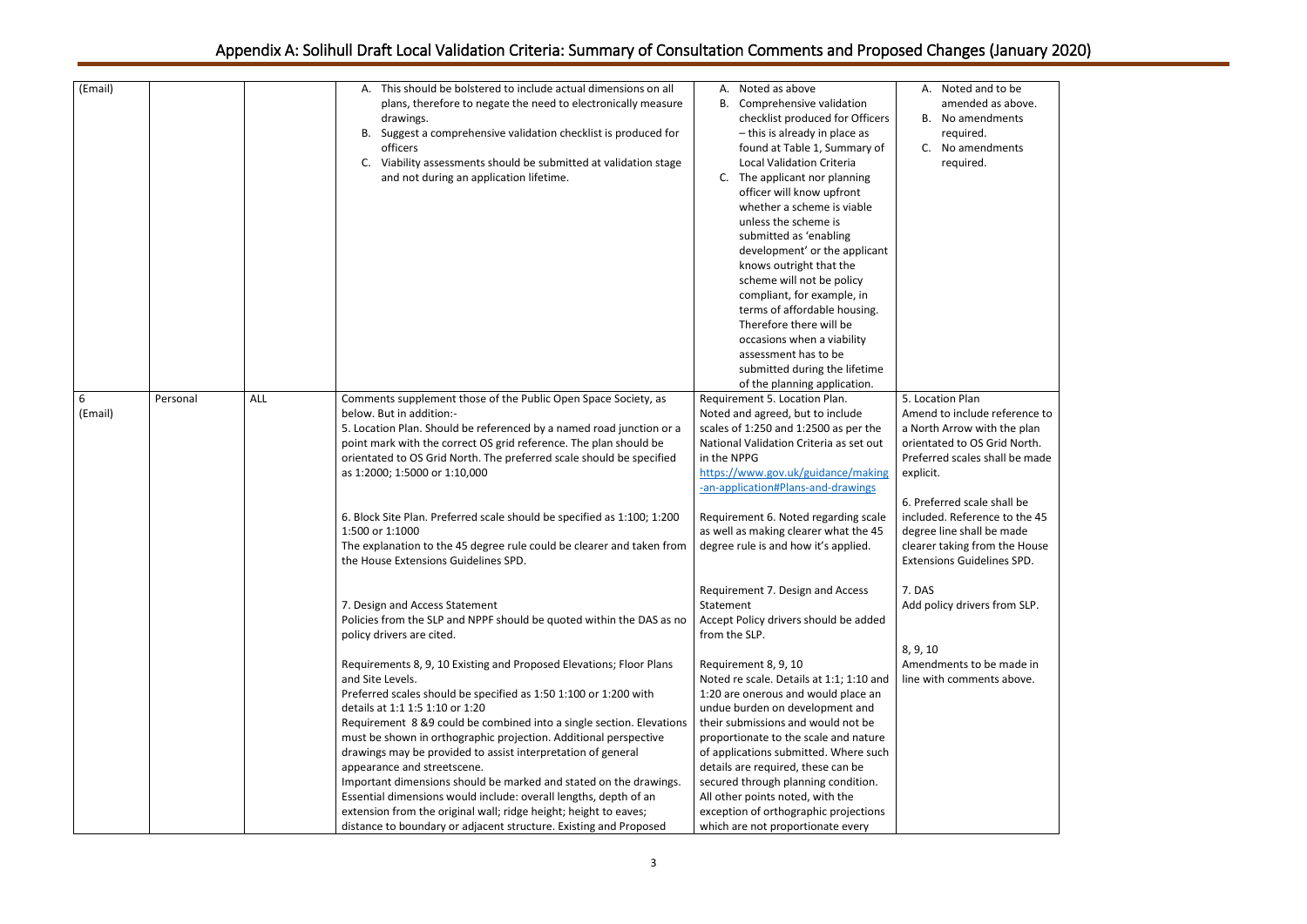| Noted and to be         |
|-------------------------|
| amended as above.       |
| No amendments           |
| required.               |
| No amendments           |
| required.               |
|                         |
|                         |
|                         |
|                         |
|                         |
|                         |
|                         |
|                         |
|                         |
|                         |
|                         |
|                         |
|                         |
|                         |
|                         |
| ion Plan                |
| to include reference to |
| Arrow with the plan     |
| ed to OS Grid North.    |
| d scales shall be made  |
|                         |
|                         |
| rred scale shall be     |
| I. Reference to the 45  |
| ine shall be made       |
| aking from the House    |
| ons Guidelines SPD.     |
|                         |
|                         |
| icy drivers from SLP.   |
|                         |
|                         |
|                         |
|                         |
| nents to be made in     |
| comments above.         |
|                         |
|                         |
|                         |
|                         |
|                         |
|                         |
|                         |
|                         |
|                         |
|                         |
|                         |

| (Email)      |          |            | This should be bolstered to include actual dimensions on all<br>А.<br>plans, therefore to negate the need to electronically measure<br>drawings.<br>Suggest a comprehensive validation checklist is produced for<br>В.<br>officers<br>Viability assessments should be submitted at validation stage<br>C.<br>and not during an application lifetime.                                                                                                                                                                                                                                                                                                                                                                                                                                                                                                               | Noted as above<br>А.<br>В.<br>Comprehensive validation<br>checklist produced for Officers<br>- this is already in place as<br>found at Table 1, Summary of<br><b>Local Validation Criteria</b><br>The applicant nor planning<br>C.<br>officer will know upfront<br>whether a scheme is viable<br>unless the scheme is<br>submitted as 'enabling<br>development' or the applicant<br>knows outright that the<br>scheme will not be policy<br>compliant, for example, in<br>terms of affordable housing.<br>Therefore there will be<br>occasions when a viability<br>assessment has to be<br>submitted during the lifetime<br>of the planning application. | A. Noted and to be<br>amended as above.<br>B. No amendments<br>required.<br>C. No amendments<br>required.                                                                                                                                                                                                                          |
|--------------|----------|------------|--------------------------------------------------------------------------------------------------------------------------------------------------------------------------------------------------------------------------------------------------------------------------------------------------------------------------------------------------------------------------------------------------------------------------------------------------------------------------------------------------------------------------------------------------------------------------------------------------------------------------------------------------------------------------------------------------------------------------------------------------------------------------------------------------------------------------------------------------------------------|----------------------------------------------------------------------------------------------------------------------------------------------------------------------------------------------------------------------------------------------------------------------------------------------------------------------------------------------------------------------------------------------------------------------------------------------------------------------------------------------------------------------------------------------------------------------------------------------------------------------------------------------------------|------------------------------------------------------------------------------------------------------------------------------------------------------------------------------------------------------------------------------------------------------------------------------------------------------------------------------------|
| 6<br>(Email) | Personal | <b>ALL</b> | Comments supplement those of the Public Open Space Society, as<br>below. But in addition:-<br>5. Location Plan. Should be referenced by a named road junction or a<br>point mark with the correct OS grid reference. The plan should be<br>orientated to OS Grid North. The preferred scale should be specified<br>as 1:2000; 1:5000 or 1:10,000<br>6. Block Site Plan. Preferred scale should be specified as 1:100; 1:200<br>1:500 or 1:1000<br>The explanation to the 45 degree rule could be clearer and taken from<br>the House Extensions Guidelines SPD.                                                                                                                                                                                                                                                                                                    | Requirement 5. Location Plan.<br>Noted and agreed, but to include<br>scales of 1:250 and 1:2500 as per the<br>National Validation Criteria as set out<br>in the NPPG<br>https://www.gov.uk/guidance/making<br>-an-application#Plans-and-drawings<br>Requirement 6. Noted regarding scale<br>as well as making clearer what the 45<br>degree rule is and how it's applied.                                                                                                                                                                                                                                                                                | 5. Location Plan<br>Amend to include reference to<br>a North Arrow with the plan<br>orientated to OS Grid North.<br>Preferred scales shall be made<br>explicit.<br>6. Preferred scale shall be<br>included. Reference to the 45<br>degree line shall be made<br>clearer taking from the House<br><b>Extensions Guidelines SPD.</b> |
|              |          |            | 7. Design and Access Statement<br>Policies from the SLP and NPPF should be quoted within the DAS as no<br>policy drivers are cited.<br>Requirements 8, 9, 10 Existing and Proposed Elevations; Floor Plans<br>and Site Levels.<br>Preferred scales should be specified as 1:50 1:100 or 1:200 with<br>details at 1:1 1:5 1:10 or 1:20<br>Requirement 8 &9 could be combined into a single section. Elevations<br>must be shown in orthographic projection. Additional perspective<br>drawings may be provided to assist interpretation of general<br>appearance and streetscene.<br>Important dimensions should be marked and stated on the drawings.<br>Essential dimensions would include: overall lengths, depth of an<br>extension from the original wall; ridge height; height to eaves;<br>distance to boundary or adjacent structure. Existing and Proposed | Requirement 7. Design and Access<br>Statement<br>Accept Policy drivers should be added<br>from the SLP.<br>Requirement 8, 9, 10<br>Noted re scale. Details at 1:1; 1:10 and<br>1:20 are onerous and would place an<br>undue burden on development and<br>their submissions and would not be<br>proportionate to the scale and nature<br>of applications submitted. Where such<br>details are required, these can be<br>secured through planning condition.<br>All other points noted, with the<br>exception of orthographic projections<br>which are not proportionate every                                                                             | 7. DAS<br>Add policy drivers from SLP.<br>8, 9, 10<br>Amendments to be made in<br>line with comments above.                                                                                                                                                                                                                        |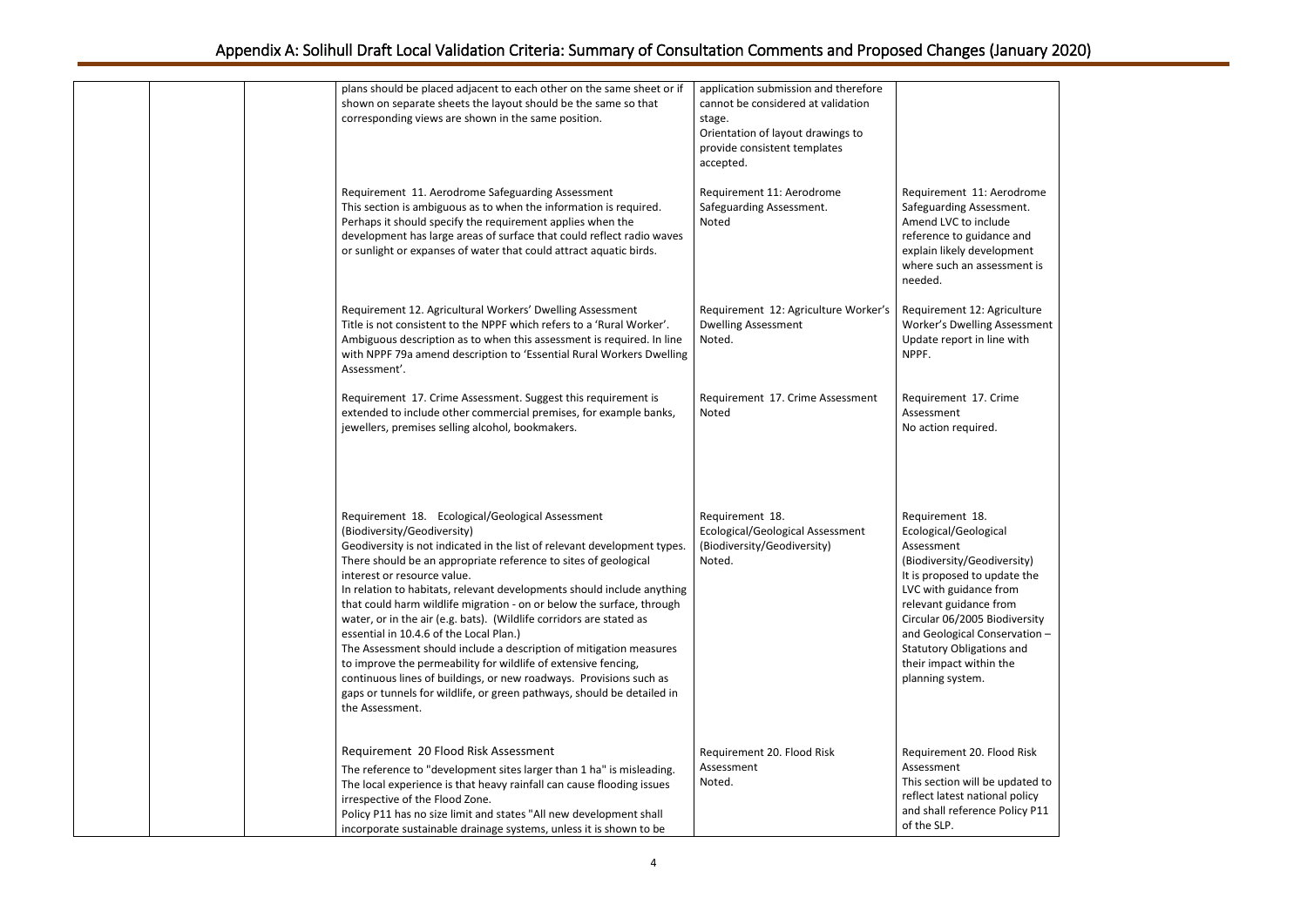: Aerodrome sessment. iclude dance and velopment ssessment is

: Agriculture ng Assessment Ine with

**Crime** 

ed.

ogical

odiversity) update the ce from re from Biodiversity  $\text{Conservation}$  – tions and hin the

. Flood Risk

be updated to rional policy nce Policy P11

| plans should be placed adjacent to each other on the same sheet or if<br>shown on separate sheets the layout should be the same so that<br>corresponding views are shown in the same position.                                                                                                                                                                                                                                                                                                                                                                                                                                                                                                                                                                                                                                                | application submission and therefore<br>cannot be considered at validation<br>stage.<br>Orientation of layout drawings to<br>provide consistent templates<br>accepted. |                                                                                                                                                                                                                                                            |
|-----------------------------------------------------------------------------------------------------------------------------------------------------------------------------------------------------------------------------------------------------------------------------------------------------------------------------------------------------------------------------------------------------------------------------------------------------------------------------------------------------------------------------------------------------------------------------------------------------------------------------------------------------------------------------------------------------------------------------------------------------------------------------------------------------------------------------------------------|------------------------------------------------------------------------------------------------------------------------------------------------------------------------|------------------------------------------------------------------------------------------------------------------------------------------------------------------------------------------------------------------------------------------------------------|
| Requirement 11. Aerodrome Safeguarding Assessment<br>This section is ambiguous as to when the information is required.<br>Perhaps it should specify the requirement applies when the<br>development has large areas of surface that could reflect radio waves<br>or sunlight or expanses of water that could attract aquatic birds.                                                                                                                                                                                                                                                                                                                                                                                                                                                                                                           | Requirement 11: Aerodrome<br>Safeguarding Assessment.<br>Noted                                                                                                         | Requirement 11:<br>Safeguarding Asse<br>Amend LVC to inc<br>reference to guida<br>explain likely deve<br>where such an ass<br>needed.                                                                                                                      |
| Requirement 12. Agricultural Workers' Dwelling Assessment<br>Title is not consistent to the NPPF which refers to a 'Rural Worker'.<br>Ambiguous description as to when this assessment is required. In line<br>with NPPF 79a amend description to 'Essential Rural Workers Dwelling<br>Assessment'.                                                                                                                                                                                                                                                                                                                                                                                                                                                                                                                                           | Requirement 12: Agriculture Worker's<br><b>Dwelling Assessment</b><br>Noted.                                                                                           | Requirement 12:<br>Worker's Dwelling<br>Update report in I<br>NPPF.                                                                                                                                                                                        |
| Requirement 17. Crime Assessment. Suggest this requirement is<br>extended to include other commercial premises, for example banks,<br>jewellers, premises selling alcohol, bookmakers.                                                                                                                                                                                                                                                                                                                                                                                                                                                                                                                                                                                                                                                        | Requirement 17. Crime Assessment<br>Noted                                                                                                                              | Requirement 17.<br>Assessment<br>No action require                                                                                                                                                                                                         |
| Requirement 18. Ecological/Geological Assessment<br>(Biodiversity/Geodiversity)<br>Geodiversity is not indicated in the list of relevant development types.<br>There should be an appropriate reference to sites of geological<br>interest or resource value.<br>In relation to habitats, relevant developments should include anything<br>that could harm wildlife migration - on or below the surface, through<br>water, or in the air (e.g. bats). (Wildlife corridors are stated as<br>essential in 10.4.6 of the Local Plan.)<br>The Assessment should include a description of mitigation measures<br>to improve the permeability for wildlife of extensive fencing,<br>continuous lines of buildings, or new roadways. Provisions such as<br>gaps or tunnels for wildlife, or green pathways, should be detailed in<br>the Assessment. | Requirement 18.<br>Ecological/Geological Assessment<br>(Biodiversity/Geodiversity)<br>Noted.                                                                           | Requirement 18.<br>Ecological/Geolog<br>Assessment<br>(Biodiversity/Geo<br>It is proposed to u<br>LVC with guidance<br>relevant guidance<br>Circular 06/2005 I<br>and Geological Co<br><b>Statutory Obligati</b><br>their impact withi<br>planning system. |
| Requirement 20 Flood Risk Assessment<br>The reference to "development sites larger than 1 ha" is misleading.<br>The local experience is that heavy rainfall can cause flooding issues<br>irrespective of the Flood Zone.<br>Policy P11 has no size limit and states "All new development shall<br>incorporate sustainable drainage systems, unless it is shown to be                                                                                                                                                                                                                                                                                                                                                                                                                                                                          | Requirement 20. Flood Risk<br>Assessment<br>Noted.                                                                                                                     | Requirement 20.<br>Assessment<br>This section will b<br>reflect latest natio<br>and shall referend<br>of the SLP.                                                                                                                                          |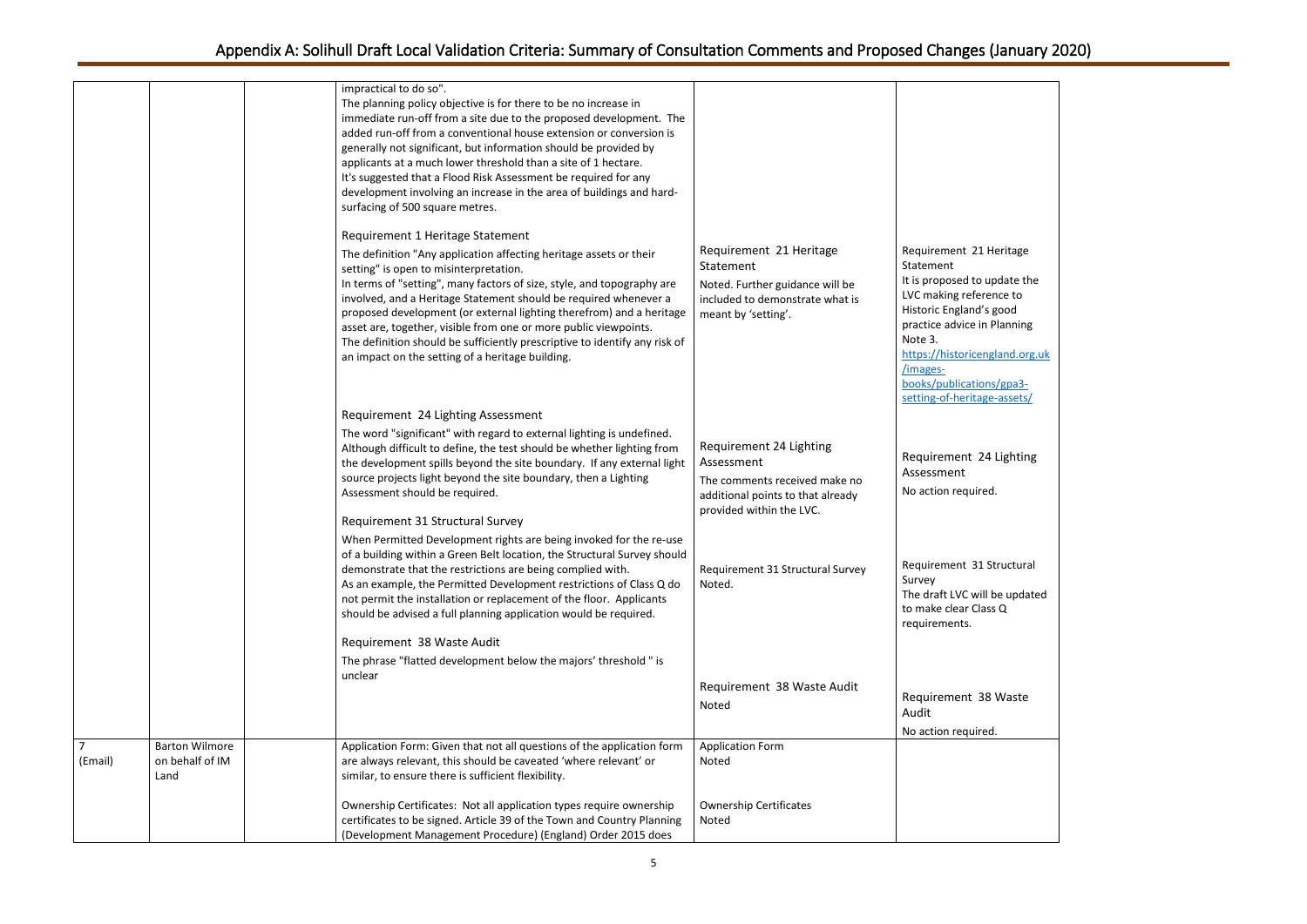update the rence to 's good n Planning

<sub>england.org.uk</sub>

24 Lighting

L Structural

ill be updated ass  $\overline{Q}$ 

|                           |                                                  | impractical to do so".<br>The planning policy objective is for there to be no increase in<br>immediate run-off from a site due to the proposed development. The<br>added run-off from a conventional house extension or conversion is<br>generally not significant, but information should be provided by<br>applicants at a much lower threshold than a site of 1 hectare.<br>It's suggested that a Flood Risk Assessment be required for any<br>development involving an increase in the area of buildings and hard-<br>surfacing of 500 square metres.                    |                                                                                                                                         |                                                                                                                                                                                                                                                                           |
|---------------------------|--------------------------------------------------|------------------------------------------------------------------------------------------------------------------------------------------------------------------------------------------------------------------------------------------------------------------------------------------------------------------------------------------------------------------------------------------------------------------------------------------------------------------------------------------------------------------------------------------------------------------------------|-----------------------------------------------------------------------------------------------------------------------------------------|---------------------------------------------------------------------------------------------------------------------------------------------------------------------------------------------------------------------------------------------------------------------------|
|                           |                                                  | Requirement 1 Heritage Statement<br>The definition "Any application affecting heritage assets or their<br>setting" is open to misinterpretation.<br>In terms of "setting", many factors of size, style, and topography are<br>involved, and a Heritage Statement should be required whenever a<br>proposed development (or external lighting therefrom) and a heritage<br>asset are, together, visible from one or more public viewpoints.<br>The definition should be sufficiently prescriptive to identify any risk of<br>an impact on the setting of a heritage building. | Requirement 21 Heritage<br>Statement<br>Noted. Further guidance will be<br>included to demonstrate what is<br>meant by 'setting'.       | Requirement 21 Heritage<br>Statement<br>It is proposed to update th<br>LVC making reference to<br>Historic England's good<br>practice advice in Planning<br>Note 3.<br>https://historicengland.org<br>/images-<br>books/publications/gpa3-<br>setting-of-heritage-assets/ |
|                           |                                                  | Requirement 24 Lighting Assessment<br>The word "significant" with regard to external lighting is undefined.<br>Although difficult to define, the test should be whether lighting from<br>the development spills beyond the site boundary. If any external light<br>source projects light beyond the site boundary, then a Lighting<br>Assessment should be required.<br>Requirement 31 Structural Survey                                                                                                                                                                     | Requirement 24 Lighting<br>Assessment<br>The comments received make no<br>additional points to that already<br>provided within the LVC. | Requirement 24 Lightin<br>Assessment<br>No action required.                                                                                                                                                                                                               |
|                           |                                                  | When Permitted Development rights are being invoked for the re-use<br>of a building within a Green Belt location, the Structural Survey should<br>demonstrate that the restrictions are being complied with.<br>As an example, the Permitted Development restrictions of Class Q do<br>not permit the installation or replacement of the floor. Applicants<br>should be advised a full planning application would be required.                                                                                                                                               | Requirement 31 Structural Survey<br>Noted.                                                                                              | Requirement 31 Structura<br>Survey<br>The draft LVC will be upda<br>to make clear Class Q<br>requirements.                                                                                                                                                                |
|                           |                                                  | Requirement 38 Waste Audit<br>The phrase "flatted development below the majors' threshold " is<br>unclear                                                                                                                                                                                                                                                                                                                                                                                                                                                                    | Requirement 38 Waste Audit<br>Noted                                                                                                     | Requirement 38 Waste<br>Audit<br>No action required.                                                                                                                                                                                                                      |
| $\overline{7}$<br>(Email) | <b>Barton Wilmore</b><br>on behalf of IM<br>Land | Application Form: Given that not all questions of the application form<br>are always relevant, this should be caveated 'where relevant' or<br>similar, to ensure there is sufficient flexibility.                                                                                                                                                                                                                                                                                                                                                                            | <b>Application Form</b><br>Noted                                                                                                        |                                                                                                                                                                                                                                                                           |
|                           |                                                  | Ownership Certificates: Not all application types require ownership<br>certificates to be signed. Article 39 of the Town and Country Planning<br>(Development Management Procedure) (England) Order 2015 does                                                                                                                                                                                                                                                                                                                                                                | <b>Ownership Certificates</b><br>Noted                                                                                                  |                                                                                                                                                                                                                                                                           |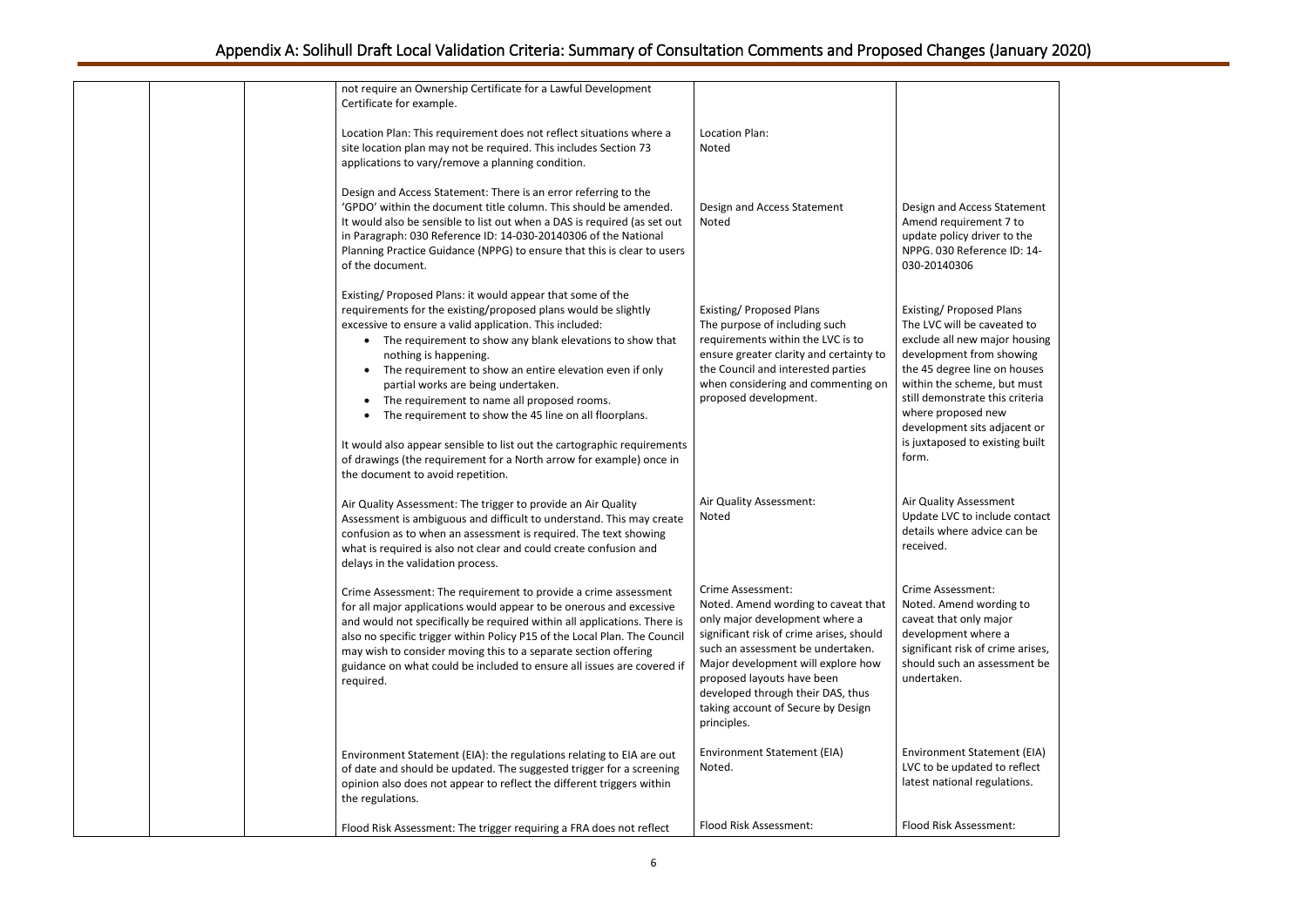ss Statement hent 7 to iver to the rence ID: 14-

ed Plans caveated to major housing om showing e on houses ne, but must e this criteria new s adjacent or: existing built

ssment nclude contact lvice can be

nt: vording to major here a f crime arises, assessment be

Itement (EIA) ed to reflect egulations.

sment:

| not require an Ownership Certificate for a Lawful Development<br>Certificate for example.                                                                                                                                                                                                                                                                                                                                                                                                                                                                                                                                                                                                     |                                                                                                                                                                                                                                                                                                                                                  |                                                                                                                                                                                                                |
|-----------------------------------------------------------------------------------------------------------------------------------------------------------------------------------------------------------------------------------------------------------------------------------------------------------------------------------------------------------------------------------------------------------------------------------------------------------------------------------------------------------------------------------------------------------------------------------------------------------------------------------------------------------------------------------------------|--------------------------------------------------------------------------------------------------------------------------------------------------------------------------------------------------------------------------------------------------------------------------------------------------------------------------------------------------|----------------------------------------------------------------------------------------------------------------------------------------------------------------------------------------------------------------|
| Location Plan: This requirement does not reflect situations where a<br>site location plan may not be required. This includes Section 73<br>applications to vary/remove a planning condition.                                                                                                                                                                                                                                                                                                                                                                                                                                                                                                  | <b>Location Plan:</b><br>Noted                                                                                                                                                                                                                                                                                                                   |                                                                                                                                                                                                                |
| Design and Access Statement: There is an error referring to the<br>'GPDO' within the document title column. This should be amended.<br>It would also be sensible to list out when a DAS is required (as set out<br>in Paragraph: 030 Reference ID: 14-030-20140306 of the National<br>Planning Practice Guidance (NPPG) to ensure that this is clear to users<br>of the document.                                                                                                                                                                                                                                                                                                             | Design and Access Statement<br>Noted                                                                                                                                                                                                                                                                                                             | Design and Acces<br>Amend requirem<br>update policy dri<br>NPPG. 030 Refer<br>030-20140306                                                                                                                     |
| Existing/ Proposed Plans: it would appear that some of the<br>requirements for the existing/proposed plans would be slightly<br>excessive to ensure a valid application. This included:<br>The requirement to show any blank elevations to show that<br>$\bullet$<br>nothing is happening.<br>The requirement to show an entire elevation even if only<br>partial works are being undertaken.<br>The requirement to name all proposed rooms.<br>The requirement to show the 45 line on all floorplans.<br>It would also appear sensible to list out the cartographic requirements<br>of drawings (the requirement for a North arrow for example) once in<br>the document to avoid repetition. | Existing/ Proposed Plans<br>The purpose of including such<br>requirements within the LVC is to<br>ensure greater clarity and certainty to<br>the Council and interested parties<br>when considering and commenting on<br>proposed development.                                                                                                   | Existing/Propose<br>The LVC will be c<br>exclude all new r<br>development fro<br>the 45 degree lin<br>within the schem<br>still demonstrate<br>where proposed<br>development sits<br>is juxtaposed to<br>form. |
| Air Quality Assessment: The trigger to provide an Air Quality<br>Assessment is ambiguous and difficult to understand. This may create<br>confusion as to when an assessment is required. The text showing<br>what is required is also not clear and could create confusion and<br>delays in the validation process.                                                                                                                                                                                                                                                                                                                                                                           | Air Quality Assessment:<br>Noted                                                                                                                                                                                                                                                                                                                 | Air Quality Asses<br>Update LVC to in<br>details where ad<br>received.                                                                                                                                         |
| Crime Assessment: The requirement to provide a crime assessment<br>for all major applications would appear to be onerous and excessive<br>and would not specifically be required within all applications. There is<br>also no specific trigger within Policy P15 of the Local Plan. The Council<br>may wish to consider moving this to a separate section offering<br>guidance on what could be included to ensure all issues are covered if<br>required.                                                                                                                                                                                                                                     | <b>Crime Assessment:</b><br>Noted. Amend wording to caveat that<br>only major development where a<br>significant risk of crime arises, should<br>such an assessment be undertaken.<br>Major development will explore how<br>proposed layouts have been<br>developed through their DAS, thus<br>taking account of Secure by Design<br>principles. | <b>Crime Assessmer</b><br>Noted. Amend w<br>caveat that only<br>development wh<br>significant risk of<br>should such an a<br>undertaken.                                                                       |
| Environment Statement (EIA): the regulations relating to EIA are out<br>of date and should be updated. The suggested trigger for a screening<br>opinion also does not appear to reflect the different triggers within<br>the regulations.                                                                                                                                                                                                                                                                                                                                                                                                                                                     | Environment Statement (EIA)<br>Noted.                                                                                                                                                                                                                                                                                                            | <b>Environment Sta</b><br>LVC to be update<br>latest national re                                                                                                                                               |
| Flood Risk Assessment: The trigger requiring a FRA does not reflect                                                                                                                                                                                                                                                                                                                                                                                                                                                                                                                                                                                                                           | Flood Risk Assessment:                                                                                                                                                                                                                                                                                                                           | <b>Flood Risk Assess</b>                                                                                                                                                                                       |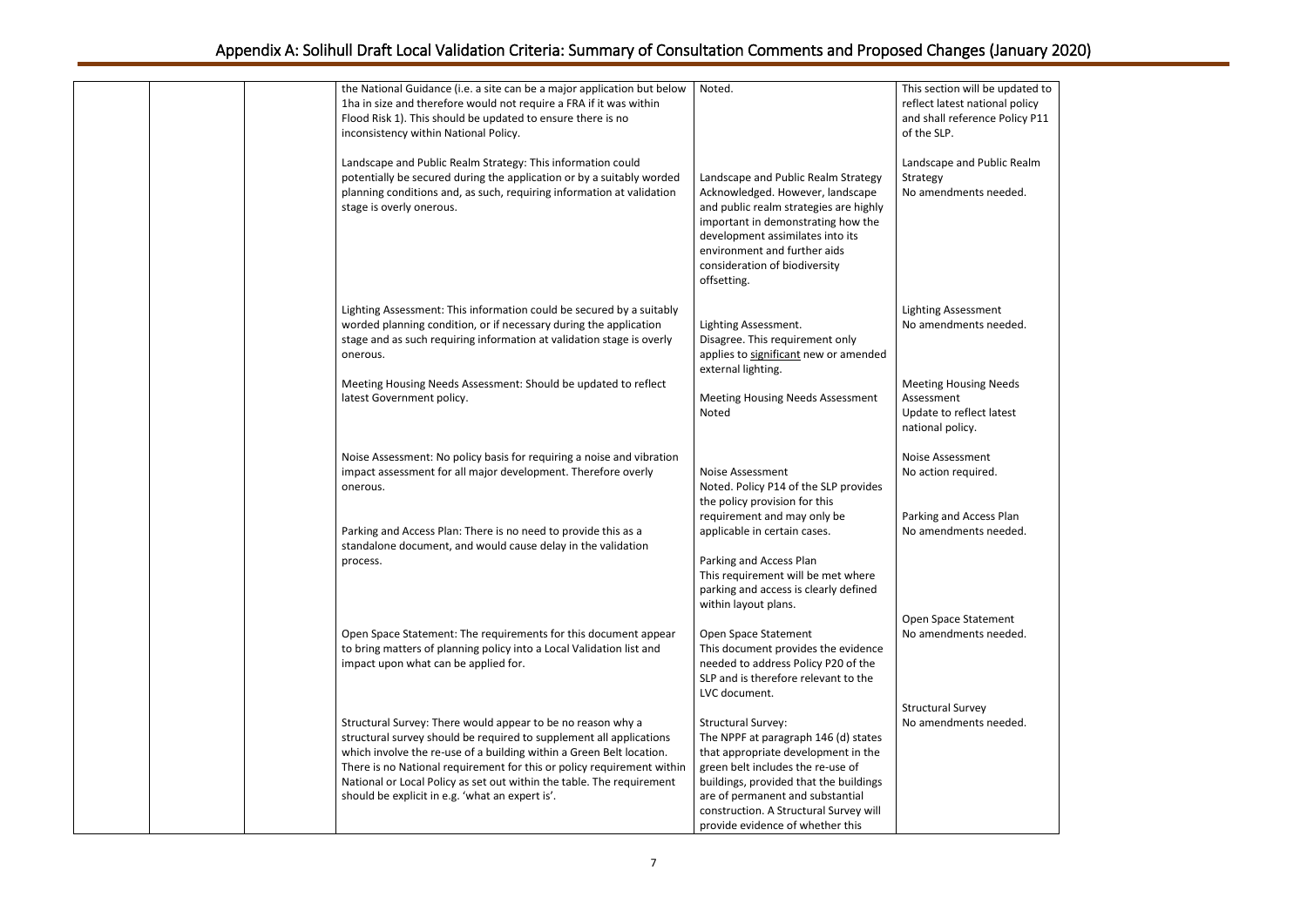| be updated to  |  |
|----------------|--|
| tional policy  |  |
|                |  |
| nce Policy P11 |  |
|                |  |
|                |  |
| Public Realm   |  |
|                |  |
|                |  |
| s needed.      |  |
|                |  |
|                |  |
|                |  |
|                |  |
|                |  |
|                |  |
|                |  |
|                |  |
| nent           |  |
| s needed.      |  |
|                |  |
|                |  |
|                |  |
|                |  |
| g Needs        |  |
|                |  |
| ct latest      |  |
|                |  |
|                |  |
|                |  |
| nt             |  |
| red.           |  |
|                |  |
|                |  |
|                |  |
| ess Plan       |  |
| s needed.      |  |
|                |  |
|                |  |
|                |  |
|                |  |
|                |  |
|                |  |
| tement         |  |
| s needed.      |  |
|                |  |
|                |  |
|                |  |
|                |  |
|                |  |
| ٠y             |  |
| s needed.      |  |
|                |  |
|                |  |
|                |  |
|                |  |
|                |  |
|                |  |
|                |  |
|                |  |
|                |  |

| the National Guidance (i.e. a site can be a major application but below<br>1ha in size and therefore would not require a FRA if it was within<br>Flood Risk 1). This should be updated to ensure there is no<br>inconsistency within National Policy.                                                                                                                                                            | Noted.                                                                                                                                                                                                                                                                                                    | This section will be updated to<br>reflect latest national policy<br>and shall reference Policy P11<br>of the SLP. |
|------------------------------------------------------------------------------------------------------------------------------------------------------------------------------------------------------------------------------------------------------------------------------------------------------------------------------------------------------------------------------------------------------------------|-----------------------------------------------------------------------------------------------------------------------------------------------------------------------------------------------------------------------------------------------------------------------------------------------------------|--------------------------------------------------------------------------------------------------------------------|
| Landscape and Public Realm Strategy: This information could<br>potentially be secured during the application or by a suitably worded<br>planning conditions and, as such, requiring information at validation<br>stage is overly onerous.                                                                                                                                                                        | Landscape and Public Realm Strategy<br>Acknowledged. However, landscape<br>and public realm strategies are highly<br>important in demonstrating how the<br>development assimilates into its<br>environment and further aids<br>consideration of biodiversity<br>offsetting.                               | Landscape and Public Realm<br>Strategy<br>No amendments needed.                                                    |
| Lighting Assessment: This information could be secured by a suitably<br>worded planning condition, or if necessary during the application<br>stage and as such requiring information at validation stage is overly<br>onerous.                                                                                                                                                                                   | Lighting Assessment.<br>Disagree. This requirement only<br>applies to significant new or amended<br>external lighting.                                                                                                                                                                                    | <b>Lighting Assessment</b><br>No amendments needed.                                                                |
| Meeting Housing Needs Assessment: Should be updated to reflect<br>latest Government policy.                                                                                                                                                                                                                                                                                                                      | <b>Meeting Housing Needs Assessment</b><br>Noted                                                                                                                                                                                                                                                          | <b>Meeting Housing Needs</b><br>Assessment<br>Update to reflect latest<br>national policy.                         |
| Noise Assessment: No policy basis for requiring a noise and vibration<br>impact assessment for all major development. Therefore overly<br>onerous.                                                                                                                                                                                                                                                               | <b>Noise Assessment</b><br>Noted. Policy P14 of the SLP provides<br>the policy provision for this                                                                                                                                                                                                         | Noise Assessment<br>No action required.                                                                            |
| Parking and Access Plan: There is no need to provide this as a<br>standalone document, and would cause delay in the validation<br>process.                                                                                                                                                                                                                                                                       | requirement and may only be<br>applicable in certain cases.<br>Parking and Access Plan<br>This requirement will be met where<br>parking and access is clearly defined<br>within layout plans.                                                                                                             | Parking and Access Plan<br>No amendments needed.                                                                   |
| Open Space Statement: The requirements for this document appear<br>to bring matters of planning policy into a Local Validation list and<br>impact upon what can be applied for.                                                                                                                                                                                                                                  | Open Space Statement<br>This document provides the evidence<br>needed to address Policy P20 of the<br>SLP and is therefore relevant to the<br>LVC document.                                                                                                                                               | Open Space Statement<br>No amendments needed.                                                                      |
| Structural Survey: There would appear to be no reason why a<br>structural survey should be required to supplement all applications<br>which involve the re-use of a building within a Green Belt location.<br>There is no National requirement for this or policy requirement within<br>National or Local Policy as set out within the table. The requirement<br>should be explicit in e.g. 'what an expert is'. | <b>Structural Survey:</b><br>The NPPF at paragraph 146 (d) states<br>that appropriate development in the<br>green belt includes the re-use of<br>buildings, provided that the buildings<br>are of permanent and substantial<br>construction. A Structural Survey will<br>provide evidence of whether this | <b>Structural Survey</b><br>No amendments needed.                                                                  |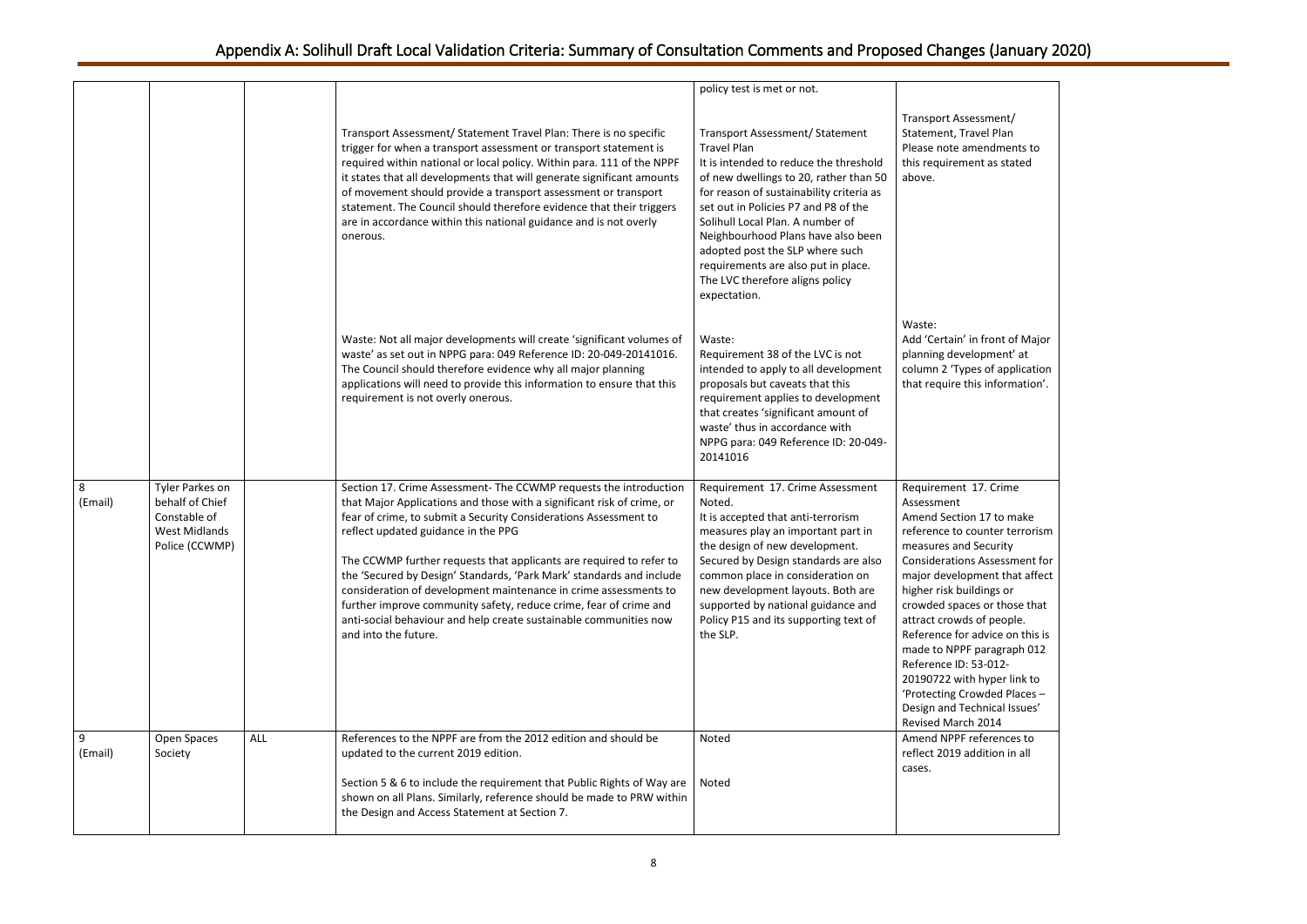| sment/<br>el Plan<br>endments to<br>t as stated                                                                                                                                                                                                                      |  |
|----------------------------------------------------------------------------------------------------------------------------------------------------------------------------------------------------------------------------------------------------------------------|--|
| front of Major<br>pment' at<br>of application<br>information'.                                                                                                                                                                                                       |  |
| 7. Crime                                                                                                                                                                                                                                                             |  |
| 17 to make<br>unter terrorism<br>ecurity<br>Assessment for<br>ent that affect<br>ings or<br>or those that<br>of people.<br>dvice on this is<br>aragraph 012<br>$3 - 012 -$<br>hyper link to<br>vded Places-<br>nical Issues'<br>2014<br>ferences to<br>lition in all |  |
|                                                                                                                                                                                                                                                                      |  |

|              |                                                                                              |            |                                                                                                                                                                                                                                                                                                                                                                                                                                                                                                                                                                                                                                             | policy test is met or not.                                                                                                                                                                                                                                                                                                                                                                                                           |                                                                                                                                                                                                                                                                                                                                                                                                                                                                                                            |
|--------------|----------------------------------------------------------------------------------------------|------------|---------------------------------------------------------------------------------------------------------------------------------------------------------------------------------------------------------------------------------------------------------------------------------------------------------------------------------------------------------------------------------------------------------------------------------------------------------------------------------------------------------------------------------------------------------------------------------------------------------------------------------------------|--------------------------------------------------------------------------------------------------------------------------------------------------------------------------------------------------------------------------------------------------------------------------------------------------------------------------------------------------------------------------------------------------------------------------------------|------------------------------------------------------------------------------------------------------------------------------------------------------------------------------------------------------------------------------------------------------------------------------------------------------------------------------------------------------------------------------------------------------------------------------------------------------------------------------------------------------------|
|              |                                                                                              |            | Transport Assessment/ Statement Travel Plan: There is no specific<br>trigger for when a transport assessment or transport statement is<br>required within national or local policy. Within para. 111 of the NPPF<br>it states that all developments that will generate significant amounts<br>of movement should provide a transport assessment or transport<br>statement. The Council should therefore evidence that their triggers<br>are in accordance within this national guidance and is not overly<br>onerous.                                                                                                                       | Transport Assessment/ Statement<br><b>Travel Plan</b><br>It is intended to reduce the threshold<br>of new dwellings to 20, rather than 50<br>for reason of sustainability criteria as<br>set out in Policies P7 and P8 of the<br>Solihull Local Plan. A number of<br>Neighbourhood Plans have also been<br>adopted post the SLP where such<br>requirements are also put in place.<br>The LVC therefore aligns policy<br>expectation. | Transport Assessment/<br>Statement, Travel Plan<br>Please note amendments to<br>this requirement as stated<br>above.                                                                                                                                                                                                                                                                                                                                                                                       |
|              |                                                                                              |            | Waste: Not all major developments will create 'significant volumes of<br>waste' as set out in NPPG para: 049 Reference ID: 20-049-20141016.<br>The Council should therefore evidence why all major planning<br>applications will need to provide this information to ensure that this<br>requirement is not overly onerous.                                                                                                                                                                                                                                                                                                                 | Waste:<br>Requirement 38 of the LVC is not<br>intended to apply to all development<br>proposals but caveats that this<br>requirement applies to development<br>that creates 'significant amount of<br>waste' thus in accordance with<br>NPPG para: 049 Reference ID: 20-049-<br>20141016                                                                                                                                             | Waste:<br>Add 'Certain' in front of Major<br>planning development' at<br>column 2 'Types of application<br>that require this information'.                                                                                                                                                                                                                                                                                                                                                                 |
| 8<br>(Email) | Tyler Parkes on<br>behalf of Chief<br>Constable of<br><b>West Midlands</b><br>Police (CCWMP) |            | Section 17. Crime Assessment- The CCWMP requests the introduction<br>that Major Applications and those with a significant risk of crime, or<br>fear of crime, to submit a Security Considerations Assessment to<br>reflect updated guidance in the PPG<br>The CCWMP further requests that applicants are required to refer to<br>the 'Secured by Design' Standards, 'Park Mark' standards and include<br>consideration of development maintenance in crime assessments to<br>further improve community safety, reduce crime, fear of crime and<br>anti-social behaviour and help create sustainable communities now<br>and into the future. | Requirement 17. Crime Assessment<br>Noted.<br>It is accepted that anti-terrorism<br>measures play an important part in<br>the design of new development.<br>Secured by Design standards are also<br>common place in consideration on<br>new development layouts. Both are<br>supported by national guidance and<br>Policy P15 and its supporting text of<br>the SLP.                                                                 | Requirement 17. Crime<br>Assessment<br>Amend Section 17 to make<br>reference to counter terrorism<br>measures and Security<br><b>Considerations Assessment for</b><br>major development that affect<br>higher risk buildings or<br>crowded spaces or those that<br>attract crowds of people.<br>Reference for advice on this is<br>made to NPPF paragraph 012<br>Reference ID: 53-012-<br>20190722 with hyper link to<br>'Protecting Crowded Places-<br>Design and Technical Issues'<br>Revised March 2014 |
| 9<br>(Email) | Open Spaces<br>Society                                                                       | <b>ALL</b> | References to the NPPF are from the 2012 edition and should be<br>updated to the current 2019 edition.                                                                                                                                                                                                                                                                                                                                                                                                                                                                                                                                      | Noted                                                                                                                                                                                                                                                                                                                                                                                                                                | Amend NPPF references to<br>reflect 2019 addition in all<br>cases.                                                                                                                                                                                                                                                                                                                                                                                                                                         |
|              |                                                                                              |            | Section 5 & 6 to include the requirement that Public Rights of Way are<br>shown on all Plans. Similarly, reference should be made to PRW within<br>the Design and Access Statement at Section 7.                                                                                                                                                                                                                                                                                                                                                                                                                                            | Noted                                                                                                                                                                                                                                                                                                                                                                                                                                |                                                                                                                                                                                                                                                                                                                                                                                                                                                                                                            |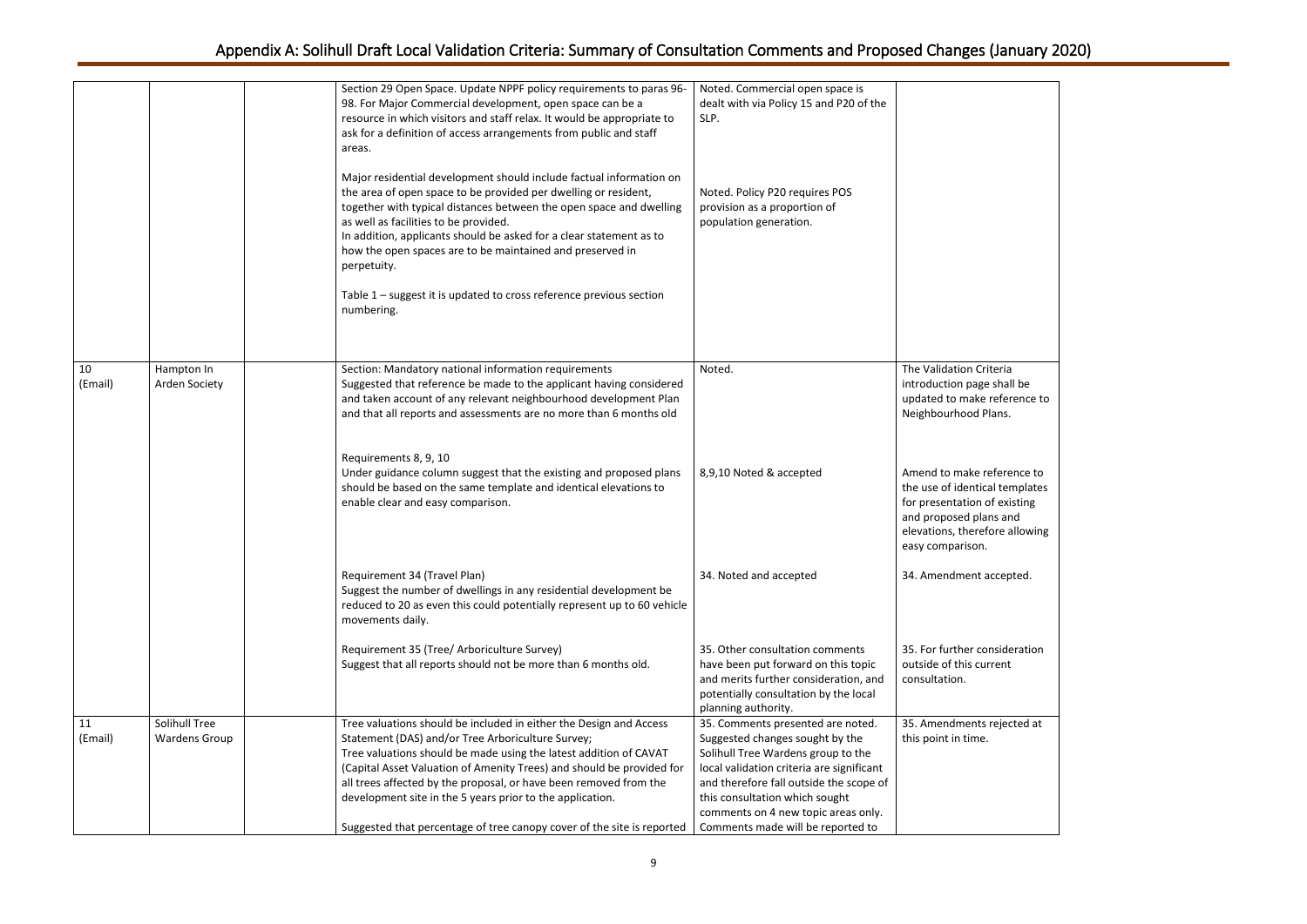|               |                                       | Section 29 Open Space. Update NPPF policy requirements to paras 96-<br>98. For Major Commercial development, open space can be a<br>resource in which visitors and staff relax. It would be appropriate to<br>ask for a definition of access arrangements from public and staff<br>areas.<br>Major residential development should include factual information on<br>the area of open space to be provided per dwelling or resident,<br>together with typical distances between the open space and dwelling<br>as well as facilities to be provided.<br>In addition, applicants should be asked for a clear statement as to<br>how the open spaces are to be maintained and preserved in<br>perpetuity.<br>Table 1 - suggest it is updated to cross reference previous section<br>numbering. | Noted. Commercial open space is<br>dealt with via Policy 15 and P20 of the<br>SLP.<br>Noted. Policy P20 requires POS<br>provision as a proportion of<br>population generation.                                                                                              |                                                                                                                                                                                                                                         |
|---------------|---------------------------------------|---------------------------------------------------------------------------------------------------------------------------------------------------------------------------------------------------------------------------------------------------------------------------------------------------------------------------------------------------------------------------------------------------------------------------------------------------------------------------------------------------------------------------------------------------------------------------------------------------------------------------------------------------------------------------------------------------------------------------------------------------------------------------------------------|-----------------------------------------------------------------------------------------------------------------------------------------------------------------------------------------------------------------------------------------------------------------------------|-----------------------------------------------------------------------------------------------------------------------------------------------------------------------------------------------------------------------------------------|
| 10<br>(Email) | Hampton In<br>Arden Society           | Section: Mandatory national information requirements<br>Suggested that reference be made to the applicant having considered<br>and taken account of any relevant neighbourhood development Plan<br>and that all reports and assessments are no more than 6 months old<br>Requirements 8, 9, 10<br>Under guidance column suggest that the existing and proposed plans<br>should be based on the same template and identical elevations to<br>enable clear and easy comparison.                                                                                                                                                                                                                                                                                                               | Noted.<br>8,9,10 Noted & accepted                                                                                                                                                                                                                                           | The Validation Criteria<br>introduction page shall be<br>updated to make reference to<br>Neighbourhood Plans.<br>Amend to make reference to<br>the use of identical templates<br>for presentation of existing<br>and proposed plans and |
|               |                                       | Requirement 34 (Travel Plan)<br>Suggest the number of dwellings in any residential development be<br>reduced to 20 as even this could potentially represent up to 60 vehicle<br>movements daily.                                                                                                                                                                                                                                                                                                                                                                                                                                                                                                                                                                                            | 34. Noted and accepted                                                                                                                                                                                                                                                      | elevations, therefore allowing<br>easy comparison.<br>34. Amendment accepted.                                                                                                                                                           |
|               |                                       | Requirement 35 (Tree/ Arboriculture Survey)<br>Suggest that all reports should not be more than 6 months old.                                                                                                                                                                                                                                                                                                                                                                                                                                                                                                                                                                                                                                                                               | 35. Other consultation comments<br>have been put forward on this topic<br>and merits further consideration, and<br>potentially consultation by the local<br>planning authority.                                                                                             | 35. For further consideration<br>outside of this current<br>consultation.                                                                                                                                                               |
| 11<br>(Email) | Solihull Tree<br><b>Wardens Group</b> | Tree valuations should be included in either the Design and Access<br>Statement (DAS) and/or Tree Arboriculture Survey;<br>Tree valuations should be made using the latest addition of CAVAT<br>(Capital Asset Valuation of Amenity Trees) and should be provided for<br>all trees affected by the proposal, or have been removed from the<br>development site in the 5 years prior to the application.<br>Suggested that percentage of tree canopy cover of the site is reported   Comments made will be reported to                                                                                                                                                                                                                                                                       | 35. Comments presented are noted.<br>Suggested changes sought by the<br>Solihull Tree Wardens group to the<br>local validation criteria are significant<br>and therefore fall outside the scope of<br>this consultation which sought<br>comments on 4 new topic areas only. | 35. Amendments rejected at<br>this point in time.                                                                                                                                                                                       |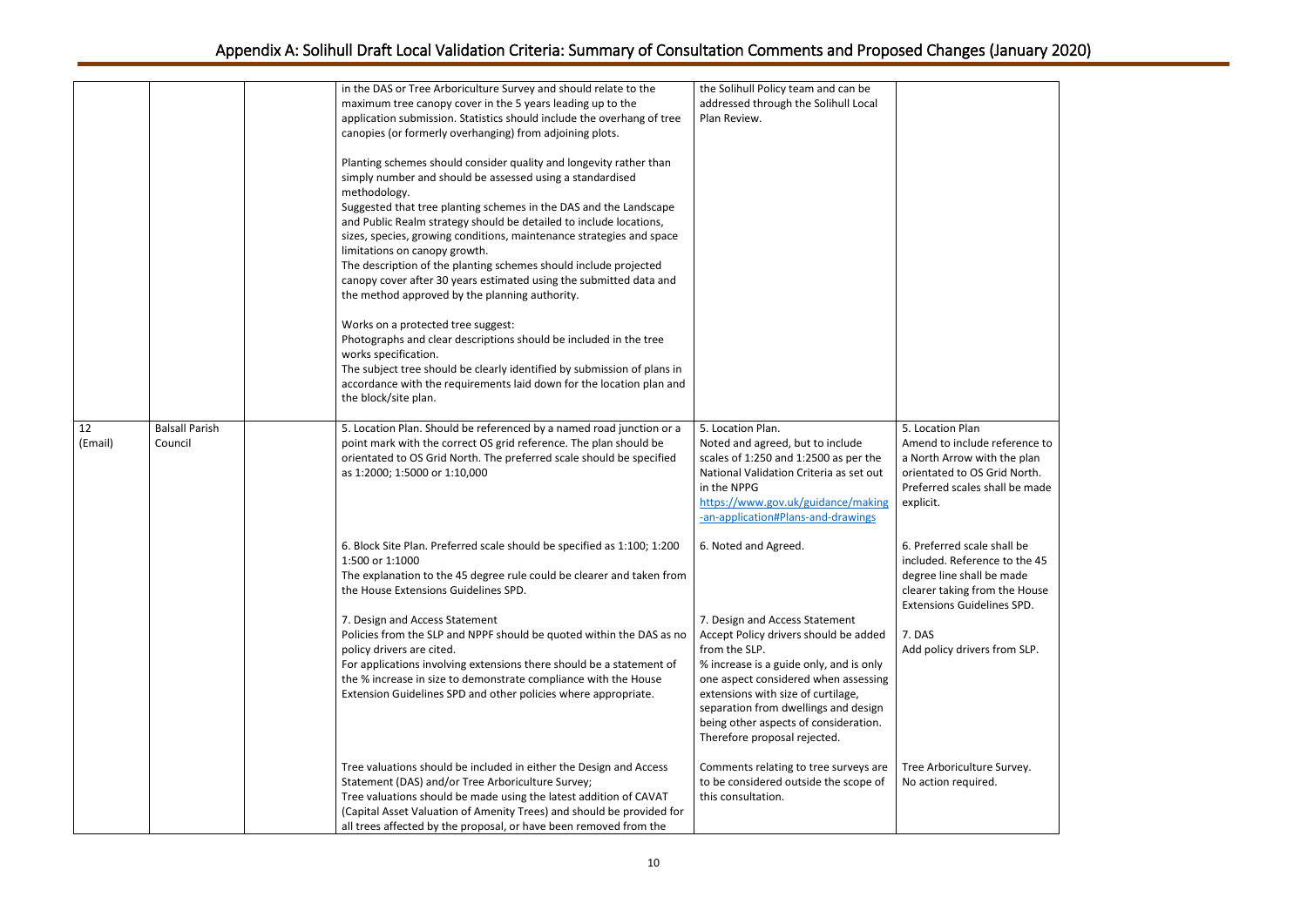le reference to  $\nu$ ith the plan  $\delta$  Grid North. shall be made

e shall be nce to the 45 be made om the House elines SPD.

rs from SLP.

re Survey. ed.

|               |                                  | in the DAS or Tree Arboriculture Survey and should relate to the<br>maximum tree canopy cover in the 5 years leading up to the<br>application submission. Statistics should include the overhang of tree                                                                                                                                                                                                                                                                                                                                                                                                                                                                                                                                                                                                                                                                  | the Solihull Policy team and can be<br>addressed through the Solihull Local<br>Plan Review.                                                                                                                                                                                                                                        |                                                                                                                 |
|---------------|----------------------------------|---------------------------------------------------------------------------------------------------------------------------------------------------------------------------------------------------------------------------------------------------------------------------------------------------------------------------------------------------------------------------------------------------------------------------------------------------------------------------------------------------------------------------------------------------------------------------------------------------------------------------------------------------------------------------------------------------------------------------------------------------------------------------------------------------------------------------------------------------------------------------|------------------------------------------------------------------------------------------------------------------------------------------------------------------------------------------------------------------------------------------------------------------------------------------------------------------------------------|-----------------------------------------------------------------------------------------------------------------|
|               |                                  | canopies (or formerly overhanging) from adjoining plots.<br>Planting schemes should consider quality and longevity rather than<br>simply number and should be assessed using a standardised<br>methodology.<br>Suggested that tree planting schemes in the DAS and the Landscape<br>and Public Realm strategy should be detailed to include locations,<br>sizes, species, growing conditions, maintenance strategies and space<br>limitations on canopy growth.<br>The description of the planting schemes should include projected<br>canopy cover after 30 years estimated using the submitted data and<br>the method approved by the planning authority.<br>Works on a protected tree suggest:<br>Photographs and clear descriptions should be included in the tree<br>works specification.<br>The subject tree should be clearly identified by submission of plans in |                                                                                                                                                                                                                                                                                                                                    |                                                                                                                 |
|               |                                  | accordance with the requirements laid down for the location plan and<br>the block/site plan.                                                                                                                                                                                                                                                                                                                                                                                                                                                                                                                                                                                                                                                                                                                                                                              |                                                                                                                                                                                                                                                                                                                                    |                                                                                                                 |
| 12<br>(Email) | <b>Balsall Parish</b><br>Council | 5. Location Plan. Should be referenced by a named road junction or a<br>point mark with the correct OS grid reference. The plan should be<br>orientated to OS Grid North. The preferred scale should be specified<br>as 1:2000; 1:5000 or 1:10,000                                                                                                                                                                                                                                                                                                                                                                                                                                                                                                                                                                                                                        | 5. Location Plan.<br>Noted and agreed, but to include<br>scales of 1:250 and 1:2500 as per the<br>National Validation Criteria as set out<br>in the NPPG<br>https://www.gov.uk/guidance/making<br>-an-application#Plans-and-drawings                                                                                               | 5. Location Plan<br>Amend to include<br>a North Arrow wi<br>orientated to OS<br>Preferred scales s<br>explicit. |
|               |                                  | 6. Block Site Plan. Preferred scale should be specified as 1:100; 1:200<br>1:500 or 1:1000<br>The explanation to the 45 degree rule could be clearer and taken from<br>the House Extensions Guidelines SPD.                                                                                                                                                                                                                                                                                                                                                                                                                                                                                                                                                                                                                                                               | 6. Noted and Agreed.                                                                                                                                                                                                                                                                                                               | 6. Preferred scale<br>included. Referer<br>degree line shall<br>clearer taking fro<br><b>Extensions Guide</b>   |
|               |                                  | 7. Design and Access Statement<br>Policies from the SLP and NPPF should be quoted within the DAS as no<br>policy drivers are cited.<br>For applications involving extensions there should be a statement of<br>the % increase in size to demonstrate compliance with the House<br>Extension Guidelines SPD and other policies where appropriate.                                                                                                                                                                                                                                                                                                                                                                                                                                                                                                                          | 7. Design and Access Statement<br>Accept Policy drivers should be added<br>from the SLP.<br>% increase is a guide only, and is only<br>one aspect considered when assessing<br>extensions with size of curtilage,<br>separation from dwellings and design<br>being other aspects of consideration.<br>Therefore proposal rejected. | 7. DAS<br>Add policy driver                                                                                     |
|               |                                  | Tree valuations should be included in either the Design and Access<br>Statement (DAS) and/or Tree Arboriculture Survey;<br>Tree valuations should be made using the latest addition of CAVAT<br>(Capital Asset Valuation of Amenity Trees) and should be provided for<br>all trees affected by the proposal, or have been removed from the                                                                                                                                                                                                                                                                                                                                                                                                                                                                                                                                | Comments relating to tree surveys are<br>to be considered outside the scope of<br>this consultation.                                                                                                                                                                                                                               | <b>Tree Arboricultur</b><br>No action require                                                                   |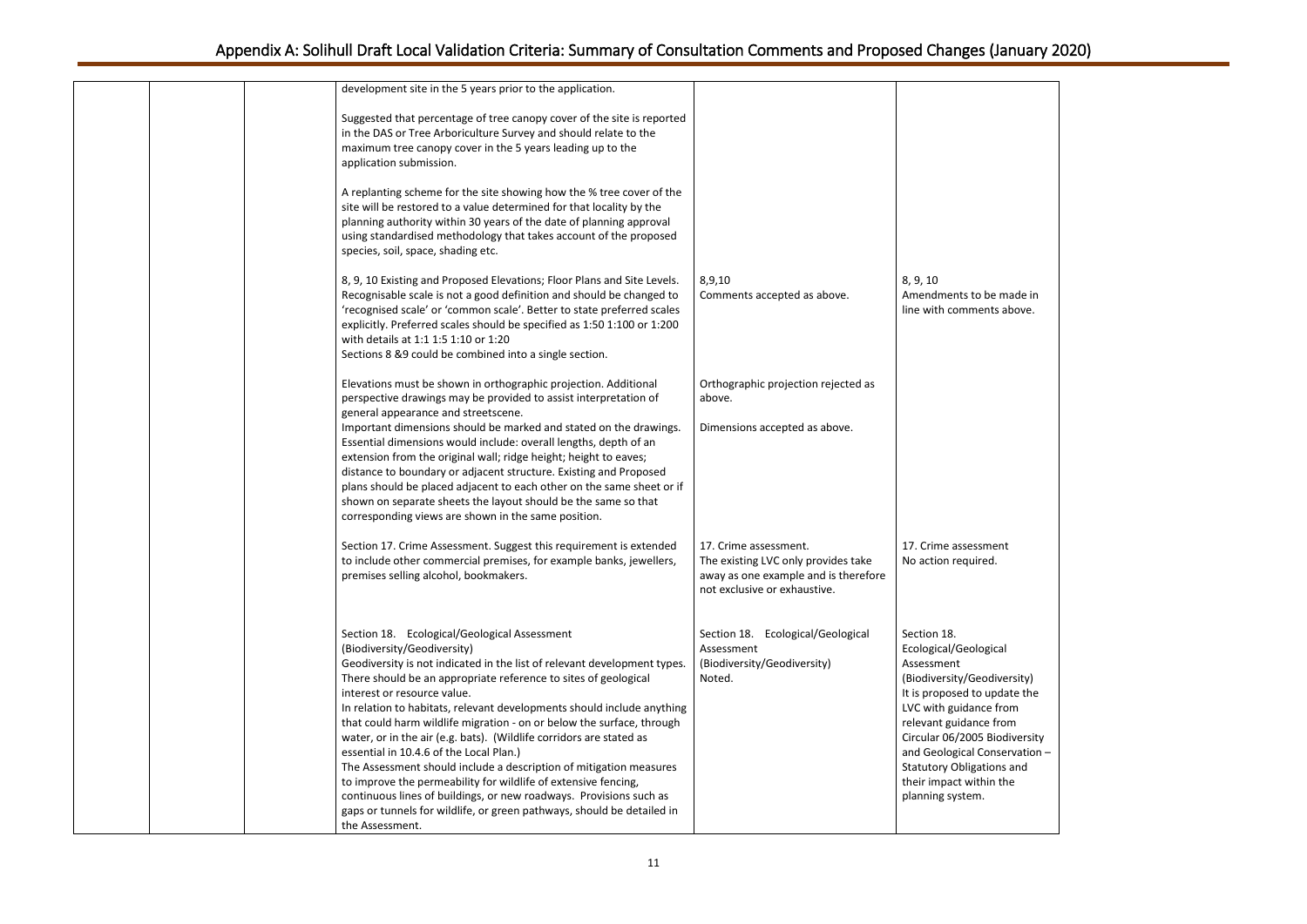| development site in the 5 years prior to the application.                                                                                                                                                                                                                                                                                                                                                                                                                                                                                                                                                                                                                                                                                                                                                              |                                                                                                                                      |                                                                                                                                                                                                                                                 |
|------------------------------------------------------------------------------------------------------------------------------------------------------------------------------------------------------------------------------------------------------------------------------------------------------------------------------------------------------------------------------------------------------------------------------------------------------------------------------------------------------------------------------------------------------------------------------------------------------------------------------------------------------------------------------------------------------------------------------------------------------------------------------------------------------------------------|--------------------------------------------------------------------------------------------------------------------------------------|-------------------------------------------------------------------------------------------------------------------------------------------------------------------------------------------------------------------------------------------------|
| Suggested that percentage of tree canopy cover of the site is reported<br>in the DAS or Tree Arboriculture Survey and should relate to the                                                                                                                                                                                                                                                                                                                                                                                                                                                                                                                                                                                                                                                                             |                                                                                                                                      |                                                                                                                                                                                                                                                 |
| maximum tree canopy cover in the 5 years leading up to the<br>application submission.                                                                                                                                                                                                                                                                                                                                                                                                                                                                                                                                                                                                                                                                                                                                  |                                                                                                                                      |                                                                                                                                                                                                                                                 |
| A replanting scheme for the site showing how the % tree cover of the<br>site will be restored to a value determined for that locality by the<br>planning authority within 30 years of the date of planning approval<br>using standardised methodology that takes account of the proposed<br>species, soil, space, shading etc.                                                                                                                                                                                                                                                                                                                                                                                                                                                                                         |                                                                                                                                      |                                                                                                                                                                                                                                                 |
| 8, 9, 10 Existing and Proposed Elevations; Floor Plans and Site Levels.<br>Recognisable scale is not a good definition and should be changed to<br>'recognised scale' or 'common scale'. Better to state preferred scales<br>explicitly. Preferred scales should be specified as 1:50 1:100 or 1:200<br>with details at 1:1 1:5 1:10 or 1:20<br>Sections 8 &9 could be combined into a single section.                                                                                                                                                                                                                                                                                                                                                                                                                 | 8,9,10<br>Comments accepted as above.                                                                                                | 8, 9, 10<br>Amendments to I<br>line with commer                                                                                                                                                                                                 |
| Elevations must be shown in orthographic projection. Additional<br>perspective drawings may be provided to assist interpretation of<br>general appearance and streetscene.<br>Important dimensions should be marked and stated on the drawings.                                                                                                                                                                                                                                                                                                                                                                                                                                                                                                                                                                        | Orthographic projection rejected as<br>above.<br>Dimensions accepted as above.                                                       |                                                                                                                                                                                                                                                 |
| Essential dimensions would include: overall lengths, depth of an<br>extension from the original wall; ridge height; height to eaves;<br>distance to boundary or adjacent structure. Existing and Proposed<br>plans should be placed adjacent to each other on the same sheet or if<br>shown on separate sheets the layout should be the same so that<br>corresponding views are shown in the same position.                                                                                                                                                                                                                                                                                                                                                                                                            |                                                                                                                                      |                                                                                                                                                                                                                                                 |
| Section 17. Crime Assessment. Suggest this requirement is extended<br>to include other commercial premises, for example banks, jewellers,<br>premises selling alcohol, bookmakers.                                                                                                                                                                                                                                                                                                                                                                                                                                                                                                                                                                                                                                     | 17. Crime assessment.<br>The existing LVC only provides take<br>away as one example and is therefore<br>not exclusive or exhaustive. | 17. Crime assessr<br>No action require                                                                                                                                                                                                          |
| Section 18. Ecological/Geological Assessment<br>(Biodiversity/Geodiversity)<br>Geodiversity is not indicated in the list of relevant development types.<br>There should be an appropriate reference to sites of geological<br>interest or resource value.<br>In relation to habitats, relevant developments should include anything<br>that could harm wildlife migration - on or below the surface, through<br>water, or in the air (e.g. bats). (Wildlife corridors are stated as<br>essential in 10.4.6 of the Local Plan.)<br>The Assessment should include a description of mitigation measures<br>to improve the permeability for wildlife of extensive fencing,<br>continuous lines of buildings, or new roadways. Provisions such as<br>gaps or tunnels for wildlife, or green pathways, should be detailed in | Section 18. Ecological/Geological<br>Assessment<br>(Biodiversity/Geodiversity)<br>Noted.                                             | Section 18.<br>Ecological/Geolog<br>Assessment<br>(Biodiversity/Gec<br>It is proposed to<br>LVC with guidanc<br>relevant guidance<br>Circular 06/2005<br>and Geological Co<br><b>Statutory Obligat</b><br>their impact with<br>planning system. |

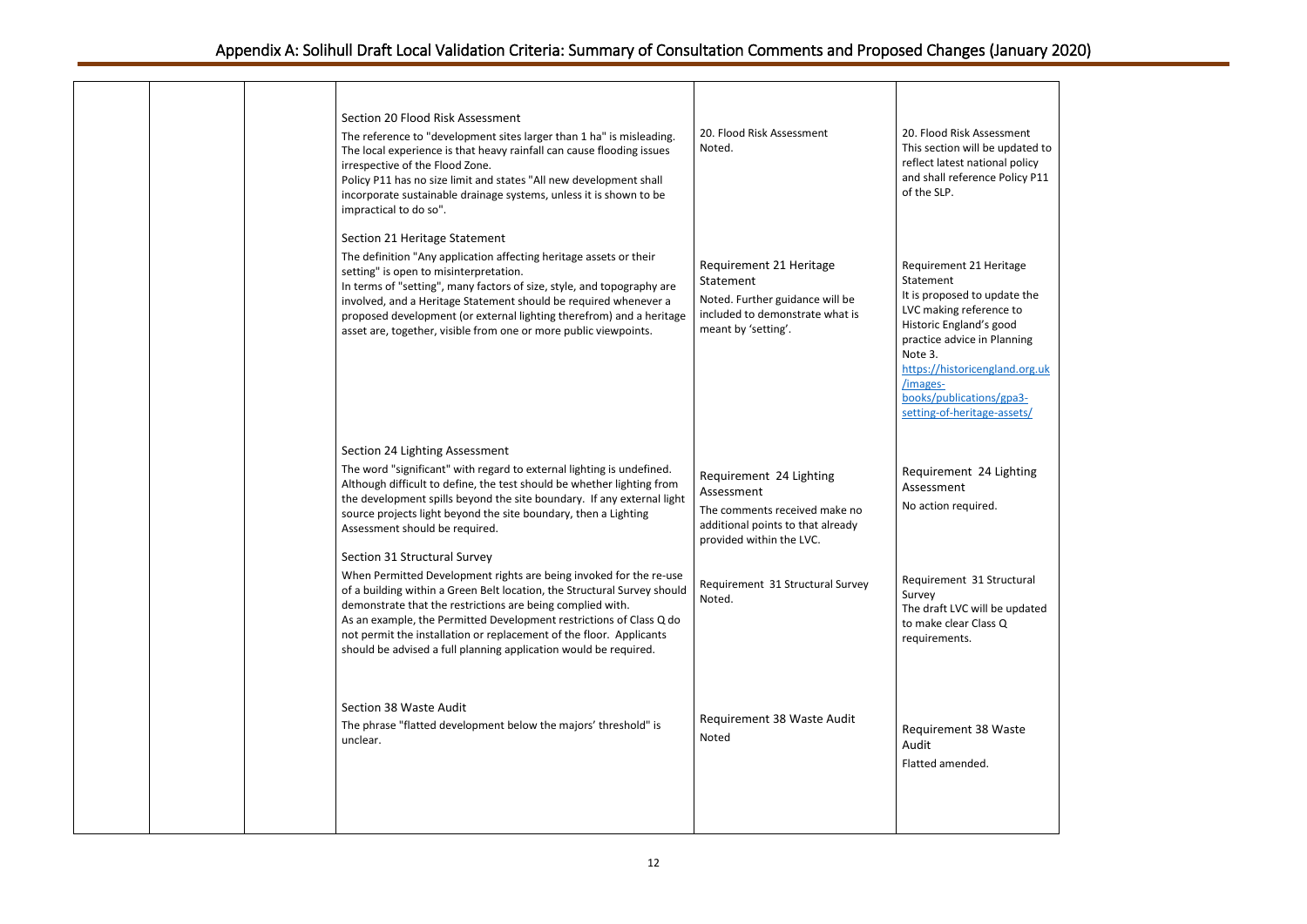sessment pe updated to

|  | Section 20 Flood Risk Assessment<br>The reference to "development sites larger than 1 ha" is misleading.<br>The local experience is that heavy rainfall can cause flooding issues<br>irrespective of the Flood Zone.<br>Policy P11 has no size limit and states "All new development shall<br>incorporate sustainable drainage systems, unless it is shown to be<br>impractical to do so".                                              | 20. Flood Risk Assessment<br>Noted.                                                                                                     | 20. Flood Risk Assessment<br>This section will be updated to<br>reflect latest national policy<br>and shall reference Policy P11<br>of the SLP.                                                                                                                               |
|--|-----------------------------------------------------------------------------------------------------------------------------------------------------------------------------------------------------------------------------------------------------------------------------------------------------------------------------------------------------------------------------------------------------------------------------------------|-----------------------------------------------------------------------------------------------------------------------------------------|-------------------------------------------------------------------------------------------------------------------------------------------------------------------------------------------------------------------------------------------------------------------------------|
|  | Section 21 Heritage Statement<br>The definition "Any application affecting heritage assets or their<br>setting" is open to misinterpretation.<br>In terms of "setting", many factors of size, style, and topography are<br>involved, and a Heritage Statement should be required whenever a<br>proposed development (or external lighting therefrom) and a heritage<br>asset are, together, visible from one or more public viewpoints. | Requirement 21 Heritage<br>Statement<br>Noted. Further guidance will be<br>included to demonstrate what is<br>meant by 'setting'.       | Requirement 21 Heritage<br>Statement<br>It is proposed to update the<br>LVC making reference to<br>Historic England's good<br>practice advice in Planning<br>Note 3.<br>https://historicengland.org.uk<br>/images-<br>books/publications/gpa3-<br>setting-of-heritage-assets/ |
|  | Section 24 Lighting Assessment<br>The word "significant" with regard to external lighting is undefined.<br>Although difficult to define, the test should be whether lighting from<br>the development spills beyond the site boundary. If any external light<br>source projects light beyond the site boundary, then a Lighting<br>Assessment should be required.<br>Section 31 Structural Survey                                        | Requirement 24 Lighting<br>Assessment<br>The comments received make no<br>additional points to that already<br>provided within the LVC. | Requirement 24 Lighting<br>Assessment<br>No action required.                                                                                                                                                                                                                  |
|  | When Permitted Development rights are being invoked for the re-use<br>of a building within a Green Belt location, the Structural Survey should<br>demonstrate that the restrictions are being complied with.<br>As an example, the Permitted Development restrictions of Class Q do<br>not permit the installation or replacement of the floor. Applicants<br>should be advised a full planning application would be required.          | Requirement 31 Structural Survey<br>Noted.                                                                                              | Requirement 31 Structural<br>Survey<br>The draft LVC will be updated<br>to make clear Class Q<br>requirements.                                                                                                                                                                |
|  | Section 38 Waste Audit<br>The phrase "flatted development below the majors' threshold" is<br>unclear.                                                                                                                                                                                                                                                                                                                                   | Requirement 38 Waste Audit<br>Noted                                                                                                     | Requirement 38 Waste<br>Audit<br>Flatted amended.                                                                                                                                                                                                                             |
|  |                                                                                                                                                                                                                                                                                                                                                                                                                                         |                                                                                                                                         |                                                                                                                                                                                                                                                                               |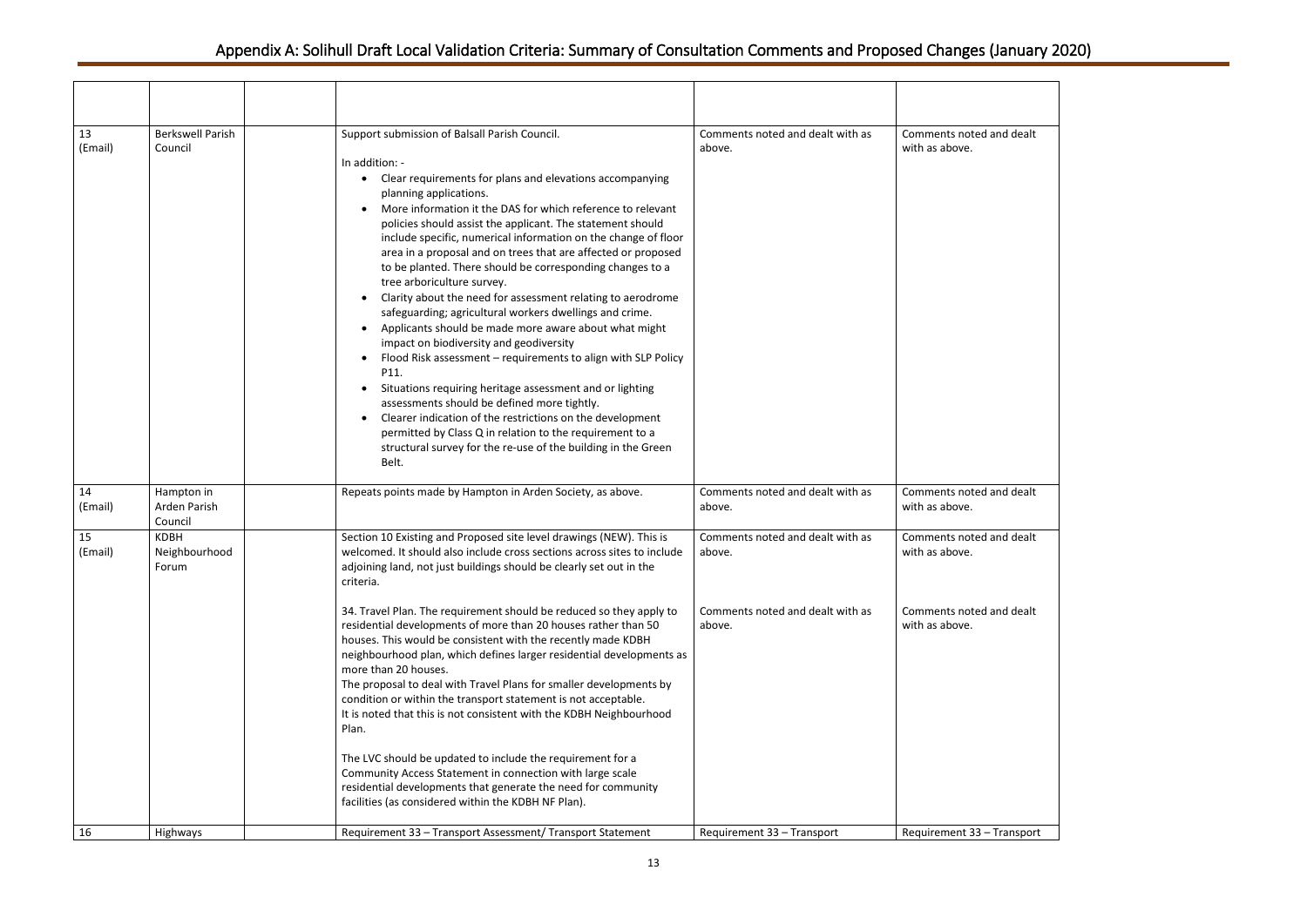| $\overline{d}$ and dealt |
|--------------------------|
|                          |
|                          |
|                          |
|                          |
|                          |
|                          |
|                          |
|                          |
|                          |
|                          |
|                          |
|                          |
|                          |
|                          |
|                          |
|                          |
|                          |
|                          |
|                          |
| d and dealt              |
|                          |
| d and dealt              |
|                          |
|                          |
|                          |
| d and dealt              |
|                          |
|                          |
|                          |
|                          |
|                          |
|                          |
|                          |
|                          |
|                          |
|                          |
|                          |
| - Transport              |
|                          |

| 13<br>(Email)       | <b>Berkswell Parish</b><br>Council                       | Support submission of Balsall Parish Council.<br>In addition: -<br>Clear requirements for plans and elevations accompanying<br>$\bullet$<br>planning applications.<br>More information it the DAS for which reference to relevant<br>policies should assist the applicant. The statement should<br>include specific, numerical information on the change of floor<br>area in a proposal and on trees that are affected or proposed<br>to be planted. There should be corresponding changes to a<br>tree arboriculture survey.<br>Clarity about the need for assessment relating to aerodrome<br>$\bullet$<br>safeguarding; agricultural workers dwellings and crime.<br>Applicants should be made more aware about what might<br>impact on biodiversity and geodiversity<br>Flood Risk assessment - requirements to align with SLP Policy<br>P11.<br>Situations requiring heritage assessment and or lighting<br>$\bullet$<br>assessments should be defined more tightly.<br>Clearer indication of the restrictions on the development<br>permitted by Class Q in relation to the requirement to a<br>structural survey for the re-use of the building in the Green<br>Belt. | Comments noted and dealt with as<br>above.                                                                             | Comments noted and dealt<br>with as above.                                                                             |
|---------------------|----------------------------------------------------------|------------------------------------------------------------------------------------------------------------------------------------------------------------------------------------------------------------------------------------------------------------------------------------------------------------------------------------------------------------------------------------------------------------------------------------------------------------------------------------------------------------------------------------------------------------------------------------------------------------------------------------------------------------------------------------------------------------------------------------------------------------------------------------------------------------------------------------------------------------------------------------------------------------------------------------------------------------------------------------------------------------------------------------------------------------------------------------------------------------------------------------------------------------------------------|------------------------------------------------------------------------------------------------------------------------|------------------------------------------------------------------------------------------------------------------------|
| 14<br>(Email)       | Hampton in<br>Arden Parish<br>Council                    | Repeats points made by Hampton in Arden Society, as above.                                                                                                                                                                                                                                                                                                                                                                                                                                                                                                                                                                                                                                                                                                                                                                                                                                                                                                                                                                                                                                                                                                                   | Comments noted and dealt with as<br>above.                                                                             | Comments noted and dealt<br>with as above.                                                                             |
| 15<br>(Email)<br>16 | <b>KDBH</b><br>Neighbourhood<br>Forum<br><b>Highways</b> | Section 10 Existing and Proposed site level drawings (NEW). This is<br>welcomed. It should also include cross sections across sites to include<br>adjoining land, not just buildings should be clearly set out in the<br>criteria.<br>34. Travel Plan. The requirement should be reduced so they apply to<br>residential developments of more than 20 houses rather than 50<br>houses. This would be consistent with the recently made KDBH<br>neighbourhood plan, which defines larger residential developments as<br>more than 20 houses.<br>The proposal to deal with Travel Plans for smaller developments by<br>condition or within the transport statement is not acceptable.<br>It is noted that this is not consistent with the KDBH Neighbourhood<br>Plan.<br>The LVC should be updated to include the requirement for a<br>Community Access Statement in connection with large scale<br>residential developments that generate the need for community<br>facilities (as considered within the KDBH NF Plan).<br>Requirement 33 - Transport Assessment/ Transport Statement                                                                                         | Comments noted and dealt with as<br>above.<br>Comments noted and dealt with as<br>above.<br>Requirement 33 - Transport | Comments noted and dealt<br>with as above.<br>Comments noted and dealt<br>with as above.<br>Requirement 33 - Transport |
|                     |                                                          |                                                                                                                                                                                                                                                                                                                                                                                                                                                                                                                                                                                                                                                                                                                                                                                                                                                                                                                                                                                                                                                                                                                                                                              |                                                                                                                        |                                                                                                                        |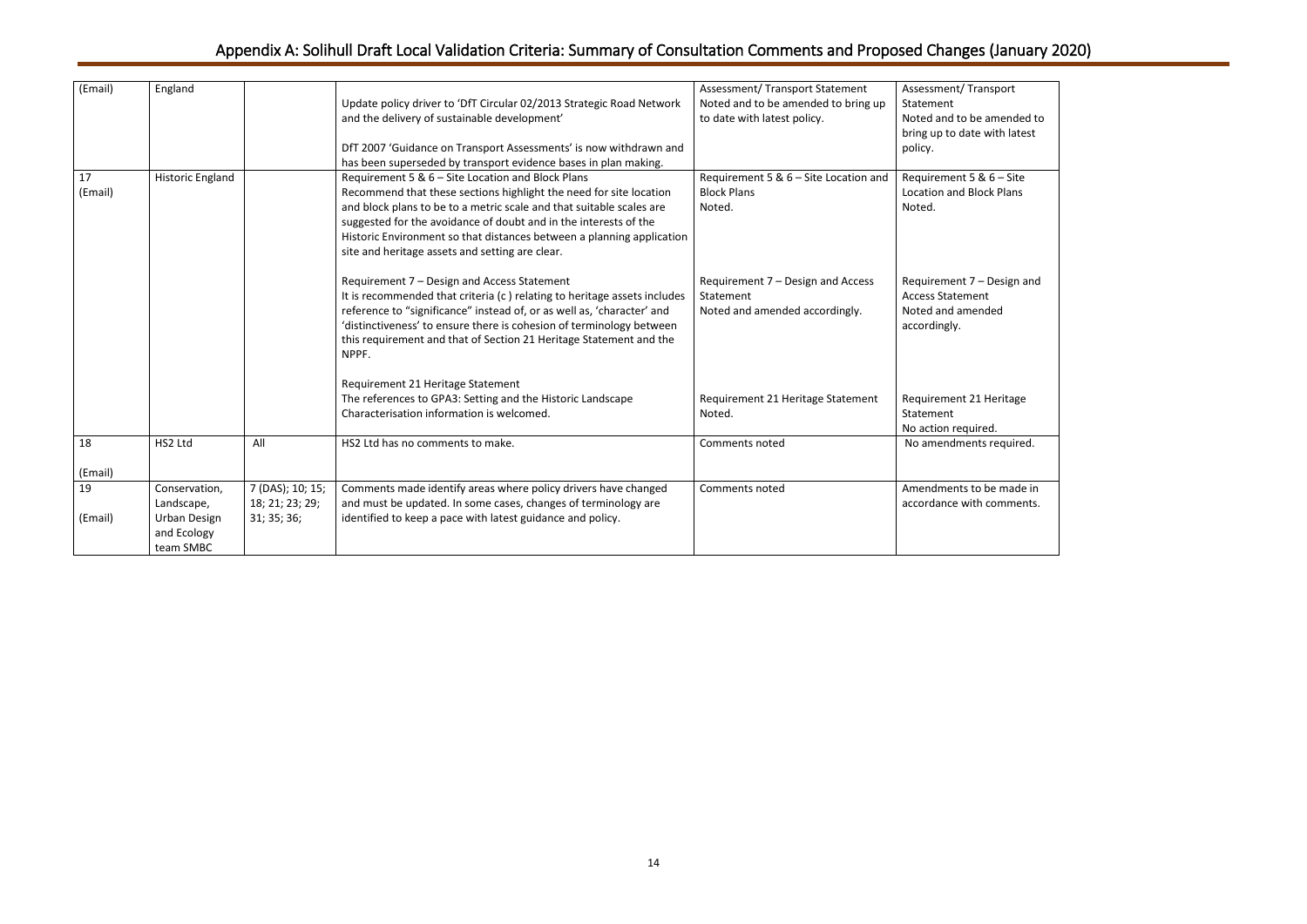| (Email)       | England                                                                        |                                                    | Update policy driver to 'DfT Circular 02/2013 Strategic Road Network<br>and the delivery of sustainable development'<br>DfT 2007 'Guidance on Transport Assessments' is now withdrawn and<br>has been superseded by transport evidence bases in plan making.                                                                                                                                    | Assessment/ Transport Statement<br>Noted and to be amended to bring up<br>to date with latest policy. | Assessment/Transport<br>Statement<br>Noted and to be amended to<br>bring up to date with latest<br>policy. |
|---------------|--------------------------------------------------------------------------------|----------------------------------------------------|-------------------------------------------------------------------------------------------------------------------------------------------------------------------------------------------------------------------------------------------------------------------------------------------------------------------------------------------------------------------------------------------------|-------------------------------------------------------------------------------------------------------|------------------------------------------------------------------------------------------------------------|
| 17<br>(Email) | <b>Historic England</b>                                                        |                                                    | Requirement 5 & 6 - Site Location and Block Plans<br>Recommend that these sections highlight the need for site location<br>and block plans to be to a metric scale and that suitable scales are<br>suggested for the avoidance of doubt and in the interests of the<br>Historic Environment so that distances between a planning application<br>site and heritage assets and setting are clear. | Requirement 5 & 6 - Site Location and<br><b>Block Plans</b><br>Noted.                                 | Requirement 5 & 6 - Site<br><b>Location and Block Plans</b><br>Noted.                                      |
|               |                                                                                |                                                    | Requirement 7 - Design and Access Statement<br>It is recommended that criteria (c) relating to heritage assets includes<br>reference to "significance" instead of, or as well as, 'character' and<br>'distinctiveness' to ensure there is cohesion of terminology between<br>this requirement and that of Section 21 Heritage Statement and the<br>NPPF.                                        | Requirement 7 - Design and Access<br>Statement<br>Noted and amended accordingly.                      | Requirement 7 - Design and<br><b>Access Statement</b><br>Noted and amended<br>accordingly.                 |
|               |                                                                                |                                                    | Requirement 21 Heritage Statement<br>The references to GPA3: Setting and the Historic Landscape<br>Characterisation information is welcomed.                                                                                                                                                                                                                                                    | Requirement 21 Heritage Statement<br>Noted.                                                           | Requirement 21 Heritage<br>Statement<br>No action required.                                                |
| 18            | HS2 Ltd                                                                        | All                                                | HS2 Ltd has no comments to make.                                                                                                                                                                                                                                                                                                                                                                | Comments noted                                                                                        | No amendments required.                                                                                    |
| (Email)       |                                                                                |                                                    |                                                                                                                                                                                                                                                                                                                                                                                                 |                                                                                                       |                                                                                                            |
| 19<br>(Email) | Conservation,<br>Landscape,<br><b>Urban Design</b><br>and Ecology<br>team SMBC | 7 (DAS); 10; 15;<br>18; 21; 23; 29;<br>31; 35; 36; | Comments made identify areas where policy drivers have changed<br>and must be updated. In some cases, changes of terminology are<br>identified to keep a pace with latest guidance and policy.                                                                                                                                                                                                  | Comments noted                                                                                        | Amendments to be made in<br>accordance with comments.                                                      |